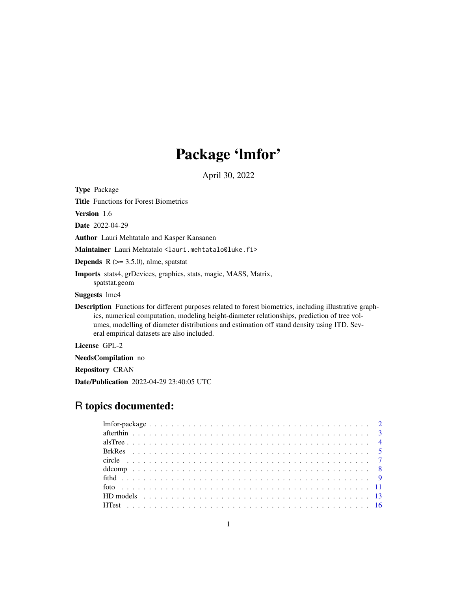# Package 'lmfor'

April 30, 2022

<span id="page-0-0"></span>Type Package

Title Functions for Forest Biometrics

Version 1.6

Date 2022-04-29

Author Lauri Mehtatalo and Kasper Kansanen

Maintainer Lauri Mehtatalo <lauri.mehtatalo@luke.fi>

**Depends** R  $(>= 3.5.0)$ , nlme, spatstat

Imports stats4, grDevices, graphics, stats, magic, MASS, Matrix, spatstat.geom

Suggests lme4

Description Functions for different purposes related to forest biometrics, including illustrative graphics, numerical computation, modeling height-diameter relationships, prediction of tree volumes, modelling of diameter distributions and estimation off stand density using ITD. Several empirical datasets are also included.

License GPL-2

NeedsCompilation no

Repository CRAN

Date/Publication 2022-04-29 23:40:05 UTC

# R topics documented: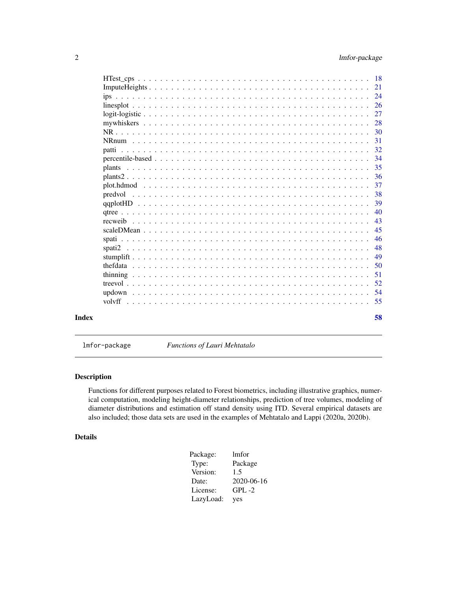<span id="page-1-0"></span>

| 38<br>39<br>40<br>43<br>45<br>46<br>48<br>49 | 50 |  |  |  |  |  |  |  |  |  |  |  |  |  |  |  |
|----------------------------------------------|----|--|--|--|--|--|--|--|--|--|--|--|--|--|--|--|
|                                              |    |  |  |  |  |  |  |  |  |  |  |  |  |  |  |  |
|                                              |    |  |  |  |  |  |  |  |  |  |  |  |  |  |  |  |
|                                              |    |  |  |  |  |  |  |  |  |  |  |  |  |  |  |  |
|                                              |    |  |  |  |  |  |  |  |  |  |  |  |  |  |  |  |
|                                              |    |  |  |  |  |  |  |  |  |  |  |  |  |  |  |  |
|                                              |    |  |  |  |  |  |  |  |  |  |  |  |  |  |  |  |

lmfor-package *Functions of Lauri Mehtatalo*

# Description

Functions for different purposes related to Forest biometrics, including illustrative graphics, numerical computation, modeling height-diameter relationships, prediction of tree volumes, modeling of diameter distributions and estimation off stand density using ITD. Several empirical datasets are also included; those data sets are used in the examples of Mehtatalo and Lappi (2020a, 2020b).

# Details

| Package:  | lmfor      |
|-----------|------------|
| Type:     | Package    |
| Version:  | 1.5        |
| Date:     | 2020-06-16 |
| License:  | $GPL -2$   |
| LazyLoad: | yes        |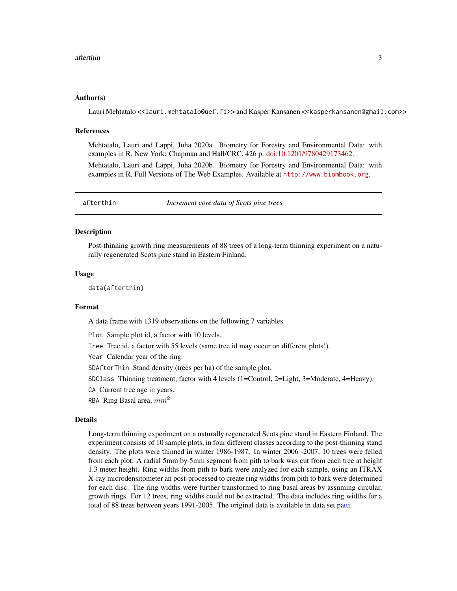# <span id="page-2-0"></span>Author(s)

Lauri Mehtatalo <<lauri.mehtatalo@uef.fi>> and Kasper Kansanen <<kasperkansanen@gmail.com>>

# References

Mehtatalo, Lauri and Lappi, Juha 2020a. Biometry for Forestry and Environmental Data: with examples in R. New York: Chapman and Hall/CRC. 426 p. [doi:10.1201/9780429173462.](https://doi.org/10.1201/9780429173462)

Mehtatalo, Lauri and Lappi, Juha 2020b. Biometry for Forestry and Environmental Data: with examples in R. Full Versions of The Web Examples. Available at <http://www.biombook.org>.

<span id="page-2-1"></span>afterthin *Increment core data of Scots pine trees*

#### Description

Post-thinning growth ring measurements of 88 trees of a long-term thinning experiment on a naturally regenerated Scots pine stand in Eastern Finland.

#### Usage

data(afterthin)

#### Format

A data frame with 1319 observations on the following 7 variables.

Plot Sample plot id, a factor with 10 levels.

Tree Tree id, a factor with 55 levels (same tree id may occur on different plots!).

Year Calendar year of the ring.

SDAfterThin Stand density (trees per ha) of the sample plot.

SDClass Thinning treatment, factor with 4 levels (1=Control, 2=Light, 3=Moderate, 4=Heavy).

- CA Current tree age in years.
- RBA Ring Basal area,  $mm<sup>2</sup>$

#### Details

Long-term thinning experiment on a naturally regenerated Scots pine stand in Eastern Finland. The experiment consists of 10 sample plots, in four different classes according to the post-thinning stand density. The plots were thinned in winter 1986-1987. In winter 2006 -2007, 10 trees were felled from each plot. A radial 5mm by 5mm segment from pith to bark was cut from each tree at height 1.3 meter height. Ring widths from pith to bark were analyzed for each sample, using an ITRAX X-ray microdensitometer an post-processed to create ring widths from pith to bark were determined for each disc. The ring widths were further transformed to ring basal areas by assuming circular, growth rings. For 12 trees, ring widths could not be extracted. The data includes ring widths for a total of 88 trees between years 1991-2005. The original data is available in data set [patti.](#page-31-1)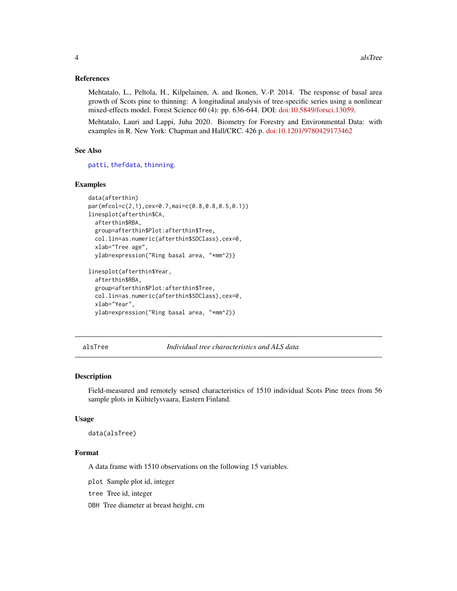# <span id="page-3-0"></span>References

Mehtatalo, L., Peltola, H., Kilpelainen, A. and Ikonen, V.-P. 2014. The response of basal area growth of Scots pine to thinning: A longitudinal analysis of tree-specific series using a nonlinear mixed-effects model. Forest Science 60 (4): pp. 636-644. DOI: [doi:10.5849/forsci.13059.](https://doi.org/10.5849/forsci.13-059)

Mehtatalo, Lauri and Lappi, Juha 2020. Biometry for Forestry and Environmental Data: with examples in R. New York: Chapman and Hall/CRC. 426 p. [doi:10.1201/9780429173462](https://doi.org/10.1201/9780429173462)

#### See Also

[patti](#page-31-1), [thefdata](#page-49-1), [thinning](#page-50-1).

#### Examples

```
data(afterthin)
par(mfcol=c(2,1),cex=0.7,mai=c(0.8,0.8,0.5,0.1))
linesplot(afterthin$CA,
 afterthin$RBA,
 group=afterthin$Plot:afterthin$Tree,
 col.lin=as.numeric(afterthin$SDClass),cex=0,
 xlab="Tree age",
 ylab=expression("Ring basal area, "*mm^2))
```

```
linesplot(afterthin$Year,
 afterthin$RBA,
 group=afterthin$Plot:afterthin$Tree,
 col.lin=as.numeric(afterthin$SDClass),cex=0,
 xlab="Year",
 ylab=expression("Ring basal area, "*mm^2))
```
alsTree *Individual tree characteristics and ALS data*

#### Description

Field-measured and remotely sensed characteristics of 1510 individual Scots Pine trees from 56 sample plots in Kiihtelysvaara, Eastern Finland.

#### Usage

```
data(alsTree)
```
#### Format

A data frame with 1510 observations on the following 15 variables.

plot Sample plot id, integer

tree Tree id, integer

DBH Tree diameter at breast height, cm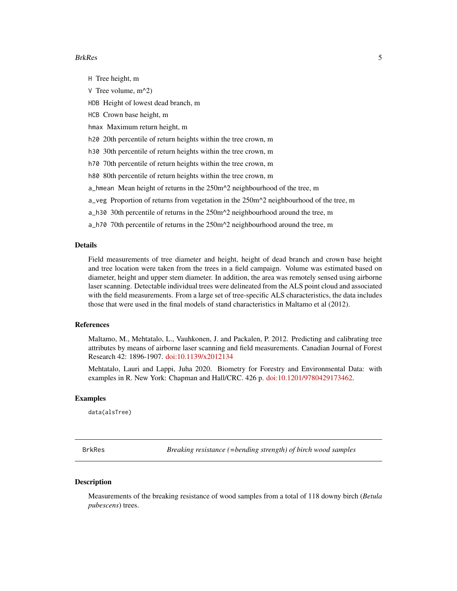#### <span id="page-4-0"></span>BrkRes 5

H Tree height, m

V Tree volume, m^2)

HDB Height of lowest dead branch, m

HCB Crown base height, m

hmax Maximum return height, m

h20 20th percentile of return heights within the tree crown, m

h30 30th percentile of return heights within the tree crown, m

h70 70th percentile of return heights within the tree crown, m

h80 80th percentile of return heights within the tree crown, m

a\_hmean Mean height of returns in the 250m^2 neighbourhood of the tree, m

a\_veg Proportion of returns from vegetation in the  $250m^2$  neighbourhood of the tree, m

a\_h30 30th percentile of returns in the 250m^2 neighbourhood around the tree, m

a\_h70 70th percentile of returns in the 250m^2 neighbourhood around the tree, m

## Details

Field measurements of tree diameter and height, height of dead branch and crown base height and tree location were taken from the trees in a field campaign. Volume was estimated based on diameter, height and upper stem diameter. In addition, the area was remotely sensed using airborne laser scanning. Detectable individual trees were delineated from the ALS point cloud and associated with the field measurements. From a large set of tree-specific ALS characteristics, the data includes those that were used in the final models of stand characteristics in Maltamo et al (2012).

# References

Maltamo, M., Mehtatalo, L., Vauhkonen, J. and Packalen, P. 2012. Predicting and calibrating tree attributes by means of airborne laser scanning and field measurements. Canadian Journal of Forest Research 42: 1896-1907. [doi:10.1139/x2012134](https://doi.org/10.1139/x2012-134)

Mehtatalo, Lauri and Lappi, Juha 2020. Biometry for Forestry and Environmental Data: with examples in R. New York: Chapman and Hall/CRC. 426 p. [doi:10.1201/9780429173462.](https://doi.org/10.1201/9780429173462)

# Examples

data(alsTree)

BrkRes *Breaking resistance (=bending strength) of birch wood samples*

#### **Description**

Measurements of the breaking resistance of wood samples from a total of 118 downy birch (*Betula pubescens*) trees.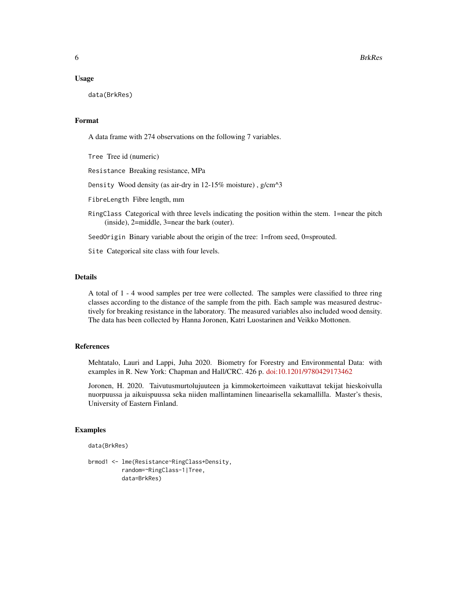#### Usage

data(BrkRes)

#### Format

A data frame with 274 observations on the following 7 variables.

Tree Tree id (numeric)

Resistance Breaking resistance, MPa

Density Wood density (as air-dry in 12-15% moisture) , g/cm^3

FibreLength Fibre length, mm

RingClass Categorical with three levels indicating the position within the stem. 1=near the pitch (inside), 2=middle, 3=near the bark (outer).

SeedOrigin Binary variable about the origin of the tree: 1=from seed, 0=sprouted.

Site Categorical site class with four levels.

#### Details

A total of 1 - 4 wood samples per tree were collected. The samples were classified to three ring classes according to the distance of the sample from the pith. Each sample was measured destructively for breaking resistance in the laboratory. The measured variables also included wood density. The data has been collected by Hanna Joronen, Katri Luostarinen and Veikko Mottonen.

#### References

Mehtatalo, Lauri and Lappi, Juha 2020. Biometry for Forestry and Environmental Data: with examples in R. New York: Chapman and Hall/CRC. 426 p. [doi:10.1201/9780429173462](https://doi.org/10.1201/9780429173462)

Joronen, H. 2020. Taivutusmurtolujuuteen ja kimmokertoimeen vaikuttavat tekijat hieskoivulla nuorpuussa ja aikuispuussa seka niiden mallintaminen lineaarisella sekamallilla. Master's thesis, University of Eastern Finland.

# Examples

```
data(BrkRes)
```

```
brmod1 <- lme(Resistance~RingClass+Density,
         random=~RingClass-1|Tree,
         data=BrkRes)
```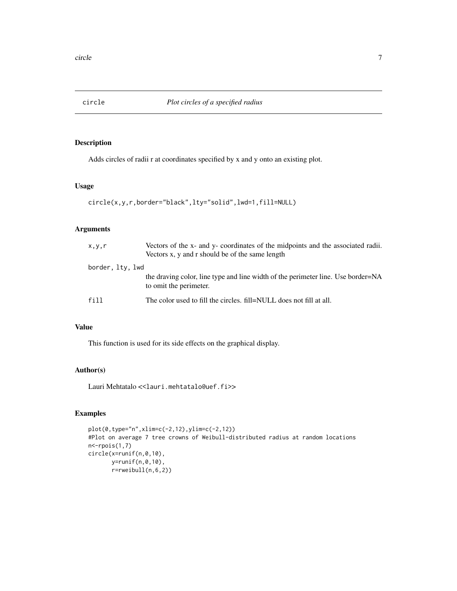<span id="page-6-0"></span>

# Description

Adds circles of radii r at coordinates specified by x and y onto an existing plot.

# Usage

```
circle(x,y,r,border="black",lty="solid",lwd=1,fill=NULL)
```
# Arguments

| x, y, r          | Vectors of the x- and y- coordinates of the midpoints and the associated radii.<br>Vectors x, y and r should be of the same length |
|------------------|------------------------------------------------------------------------------------------------------------------------------------|
| border, lty, lwd |                                                                                                                                    |
|                  | the draving color, line type and line width of the perimeter line. Use border=NA<br>to omit the perimeter.                         |
| f11              | The color used to fill the circles, fill=NULL does not fill at all.                                                                |

#### Value

This function is used for its side effects on the graphical display.

# Author(s)

Lauri Mehtatalo << lauri.mehtatalo@uef.fi>>

# Examples

```
plot(0,type="n",xlim=c(-2,12),ylim=c(-2,12))
#Plot on average 7 tree crowns of Weibull-distributed radius at random locations
n<-rpois(1,7)
circle(x=runif(n,0,10),
      y=runif(n,0,10),
       r=rweibull(n,6,2))
```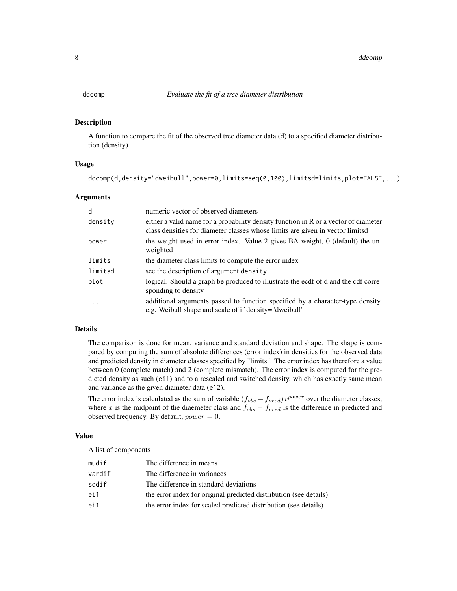<span id="page-7-0"></span>

# Description

A function to compare the fit of the observed tree diameter data (d) to a specified diameter distribution (density).

# Usage

```
ddcomp(d,density="dweibull",power=0,limits=seq(0,100),limitsd=limits,plot=FALSE,...)
```
# Arguments

| d        | numeric vector of observed diameters                                                                                                                                   |
|----------|------------------------------------------------------------------------------------------------------------------------------------------------------------------------|
| density  | either a valid name for a probability density function in R or a vector of diameter<br>class densities for diameter classes whose limits are given in vector limits of |
| power    | the weight used in error index. Value 2 gives BA weight, 0 (default) the un-<br>weighted                                                                               |
| limits   | the diameter class limits to compute the error index                                                                                                                   |
| limitsd  | see the description of argument density                                                                                                                                |
| plot     | logical. Should a graph be produced to illustrate the ecdf of d and the cdf corre-<br>sponding to density                                                              |
| $\ddots$ | additional arguments passed to function specified by a character-type density.<br>e.g. Weibull shape and scale of if density="dweibull"                                |

# Details

The comparison is done for mean, variance and standard deviation and shape. The shape is compared by computing the sum of absolute differences (error index) in densities for the observed data and predicted density in diameter classes specified by "limits". The error index has therefore a value between 0 (complete match) and 2 (complete mismatch). The error index is computed for the predicted density as such (ei1) and to a rescaled and switched density, which has exactly same mean and variance as the given diameter data (e12).

The error index is calculated as the sum of variable  $(f_{obs} - f_{pred})x^{power}$  over the diameter classes, where x is the midpoint of the diaemeter class and  $f_{obs} - f_{pred}$  is the difference in predicted and observed frequency. By default,  $power = 0$ .

# Value

A list of components

| mudif  | The difference in means                                           |
|--------|-------------------------------------------------------------------|
| vardif | The difference in variances                                       |
| sddif  | The difference in standard deviations                             |
| ei1    | the error index for original predicted distribution (see details) |
| ei1    | the error index for scaled predicted distribution (see details)   |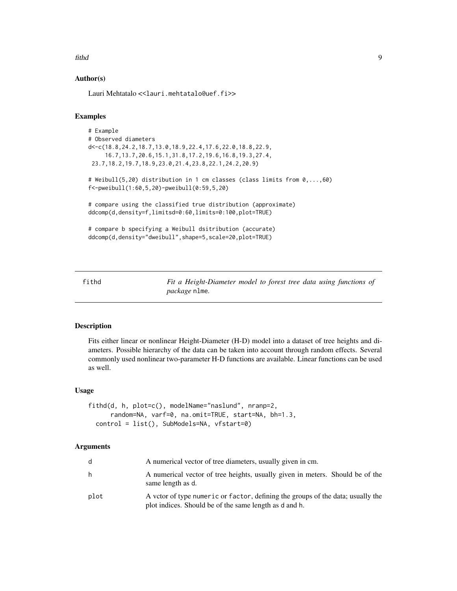#### <span id="page-8-0"></span>fithd 9

# Author(s)

Lauri Mehtatalo << lauri.mehtatalo@uef.fi>>

#### Examples

```
# Example
# Observed diameters
d<-c(18.8,24.2,18.7,13.0,18.9,22.4,17.6,22.0,18.8,22.9,
     16.7,13.7,20.6,15.1,31.8,17.2,19.6,16.8,19.3,27.4,
 23.7,18.2,19.7,18.9,23.0,21.4,23.8,22.1,24.2,20.9)
# Weibull(5,20) distribution in 1 cm classes (class limits from 0,...,60)
f<-pweibull(1:60,5,20)-pweibull(0:59,5,20)
# compare using the classified true distribution (approximate)
ddcomp(d,density=f,limitsd=0:60,limits=0:100,plot=TRUE)
# compare b specifying a Weibull dsitribution (accurate)
ddcomp(d,density="dweibull",shape=5,scale=20,plot=TRUE)
```
<span id="page-8-1"></span>fithd *Fit a Height-Diameter model to forest tree data using functions of package* nlme*.*

#### Description

Fits either linear or nonlinear Height-Diameter (H-D) model into a dataset of tree heights and diameters. Possible hierarchy of the data can be taken into account through random effects. Several commonly used nonlinear two-parameter H-D functions are available. Linear functions can be used as well.

#### Usage

```
fithd(d, h, plot=c(), modelName="naslund", nranp=2,
     random=NA, varf=0, na.omit=TRUE, start=NA, bh=1.3,
  control = list(), SubModels=NA, vfstart=0)
```
# Arguments

| d.   | A numerical vector of tree diameters, usually given in cm.                                                                                |
|------|-------------------------------------------------------------------------------------------------------------------------------------------|
| h    | A numerical vector of tree heights, usually given in meters. Should be of the<br>same length as d.                                        |
| plot | A vetor of type numeric or factor, defining the groups of the data; usually the<br>plot indices. Should be of the same length as d and h. |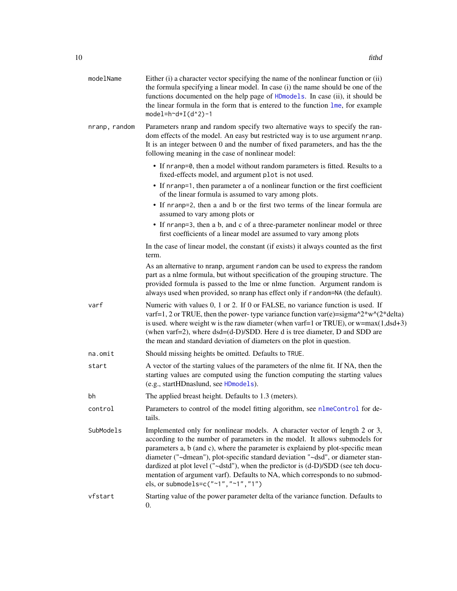<span id="page-9-0"></span>

| modelName     | Either (i) a character vector specifying the name of the nonlinear function or (ii)<br>the formula specifying a linear model. In case (i) the name should be one of the<br>functions documented on the help page of HDmodels. In case (ii), it should be<br>the linear formula in the form that is entered to the function lme, for example<br>model= $h^d+I(d^2)-1$                                                                                                                                                                            |
|---------------|-------------------------------------------------------------------------------------------------------------------------------------------------------------------------------------------------------------------------------------------------------------------------------------------------------------------------------------------------------------------------------------------------------------------------------------------------------------------------------------------------------------------------------------------------|
| nranp, random | Parameters nranp and random specify two alternative ways to specify the ran-<br>dom effects of the model. An easy but restricted way is to use argument nranp.<br>It is an integer between 0 and the number of fixed parameters, and has the the<br>following meaning in the case of nonlinear model:                                                                                                                                                                                                                                           |
|               | • If nranp=0, then a model without random parameters is fitted. Results to a<br>fixed-effects model, and argument plot is not used.                                                                                                                                                                                                                                                                                                                                                                                                             |
|               | • If nranp=1, then parameter a of a nonlinear function or the first coefficient<br>of the linear formula is assumed to vary among plots.                                                                                                                                                                                                                                                                                                                                                                                                        |
|               | • If nranp=2, then a and b or the first two terms of the linear formula are<br>assumed to vary among plots or                                                                                                                                                                                                                                                                                                                                                                                                                                   |
|               | • If nranp=3, then a b, and c of a three-parameter nonlinear model or three<br>first coefficients of a linear model are assumed to vary among plots                                                                                                                                                                                                                                                                                                                                                                                             |
|               | In the case of linear model, the constant (if exists) it always counted as the first<br>term.                                                                                                                                                                                                                                                                                                                                                                                                                                                   |
|               | As an alternative to nranp, argument random can be used to express the random<br>part as a nlme formula, but without specification of the grouping structure. The<br>provided formula is passed to the lme or nlme function. Argument random is<br>always used when provided, so nranp has effect only if random=NA (the default).                                                                                                                                                                                                              |
| varf          | Numeric with values 0, 1 or 2. If 0 or FALSE, no variance function is used. If<br>varf=1, 2 or TRUE, then the power-type variance function var(e)=sigma^2*w^(2*delta)<br>is used. where weight w is the raw diameter (when varf=1 or TRUE), or $w = max(1, dsd + 3)$<br>(when varf=2), where dsd=(d-D)/SDD. Here d is tree diameter, D and SDD are<br>the mean and standard deviation of diameters on the plot in question.                                                                                                                     |
| na.omit       | Should missing heights be omitted. Defaults to TRUE.                                                                                                                                                                                                                                                                                                                                                                                                                                                                                            |
| start         | A vector of the starting values of the parameters of the nlme fit. If NA, then the<br>starting values are computed using the function computing the starting values<br>(e.g., startHDnaslund, see HDmodels).                                                                                                                                                                                                                                                                                                                                    |
| bh            | The applied breast height. Defaults to 1.3 (meters).                                                                                                                                                                                                                                                                                                                                                                                                                                                                                            |
| control       | Parameters to control of the model fitting algorithm, see nlmeControl for de-<br>tails.                                                                                                                                                                                                                                                                                                                                                                                                                                                         |
| SubModels     | Implemented only for nonlinear models. A character vector of length 2 or 3,<br>according to the number of parameters in the model. It allows submodels for<br>parameters a, b (and c), where the parameter is explaiend by plot-specific mean<br>diameter ("~dmean"), plot-specific standard deviation "~dsd", or diameter stan-<br>dardized at plot level ("~dstd"), when the predictor is (d-D)/SDD (see teh docu-<br>mentation of argument varf). Defaults to NA, which corresponds to no submod-<br>els, or submodels= $c("~1", "~1", "1")$ |
| vfstart       | Starting value of the power parameter delta of the variance function. Defaults to<br>0.                                                                                                                                                                                                                                                                                                                                                                                                                                                         |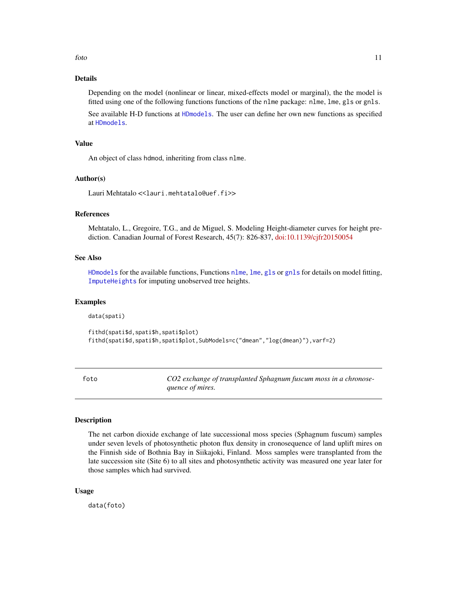# <span id="page-10-0"></span>Details

Depending on the model (nonlinear or linear, mixed-effects model or marginal), the the model is fitted using one of the following functions functions of the nlme package: nlme, lme, gls or gnls.

See available H-D functions at [HDmodels](#page-12-1). The user can define her own new functions as specified at [HDmodels](#page-12-1).

#### Value

An object of class hdmod, inheriting from class nlme.

#### Author(s)

Lauri Mehtatalo << lauri.mehtatalo@uef.fi>>

# References

Mehtatalo, L., Gregoire, T.G., and de Miguel, S. Modeling Height-diameter curves for height prediction. Canadian Journal of Forest Research, 45(7): 826-837, [doi:10.1139/cjfr20150054](https://doi.org/10.1139/cjfr-2015-0054)

# See Also

[HDmodels](#page-12-1) for the available functions, Functions [nlme](#page-0-0), [lme](#page-0-0), [gls](#page-0-0) or [gnls](#page-0-0) for details on model fitting, [ImputeHeights](#page-20-1) for imputing unobserved tree heights.

#### Examples

data(spati)

```
fithd(spati$d,spati$h,spati$plot)
fithd(spati$d,spati$h,spati$plot,SubModels=c("dmean","log(dmean)"),varf=2)
```
foto *CO2 exchange of transplanted Sphagnum fuscum moss in a chronosequence of mires.*

#### Description

The net carbon dioxide exchange of late successional moss species (Sphagnum fuscum) samples under seven levels of photosynthetic photon flux density in cronosequence of land uplift mires on the Finnish side of Bothnia Bay in Siikajoki, Finland. Moss samples were transplanted from the late succession site (Site 6) to all sites and photosynthetic activity was measured one year later for those samples which had survived.

#### Usage

data(foto)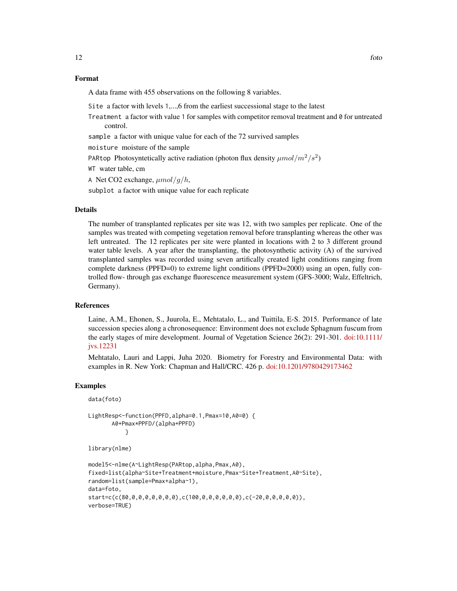# Format

A data frame with 455 observations on the following 8 variables.

Site a factor with levels 1,...,6 from the earliest successional stage to the latest

Treatment a factor with value 1 for samples with competitor removal treatment and 0 for untreated control.

sample a factor with unique value for each of the 72 survived samples

moisture moisture of the sample

PARtop Photosyntetically active radiation (photon flux density  $\mu mol/m^2/s^2$ )

WT water table, cm

A Net CO2 exchange,  $\mu$ mol/g/h,

subplot a factor with unique value for each replicate

# Details

The number of transplanted replicates per site was 12, with two samples per replicate. One of the samples was treated with competing vegetation removal before transplanting whereas the other was left untreated. The 12 replicates per site were planted in locations with 2 to 3 different ground water table levels. A year after the transplanting, the photosynthetic activity (A) of the survived transplanted samples was recorded using seven artifically created light conditions ranging from complete darkness (PPFD=0) to extreme light conditions (PPFD=2000) using an open, fully controlled flow- through gas exchange fluorescence measurement system (GFS-3000; Walz, Effeltrich, Germany).

### References

Laine, A.M., Ehonen, S., Juurola, E., Mehtatalo, L., and Tuittila, E-S. 2015. Performance of late succession species along a chronosequence: Environment does not exclude Sphagnum fuscum from the early stages of mire development. Journal of Vegetation Science 26(2): 291-301. [doi:10.1111/](https://doi.org/10.1111/jvs.12231) [jvs.12231](https://doi.org/10.1111/jvs.12231)

Mehtatalo, Lauri and Lappi, Juha 2020. Biometry for Forestry and Environmental Data: with examples in R. New York: Chapman and Hall/CRC. 426 p. [doi:10.1201/9780429173462](https://doi.org/10.1201/9780429173462)

# Examples

data(foto)

```
LightResp<-function(PPFD,alpha=0.1,Pmax=10,A0=0) {
      A0+Pmax*PPFD/(alpha+PPFD)
           }
```
library(nlme)

```
model5<-nlme(A~LightResp(PARtop,alpha,Pmax,A0),
fixed=list(alpha~Site+Treatment+moisture,Pmax~Site+Treatment,A0~Site),
random=list(sample=Pmax+alpha~1),
data=foto,
start=c(c(80,0,0,0,0,0,0,0),c(100,0,0,0,0,0,0),c(-20,0,0,0,0,0)),
verbose=TRUE)
```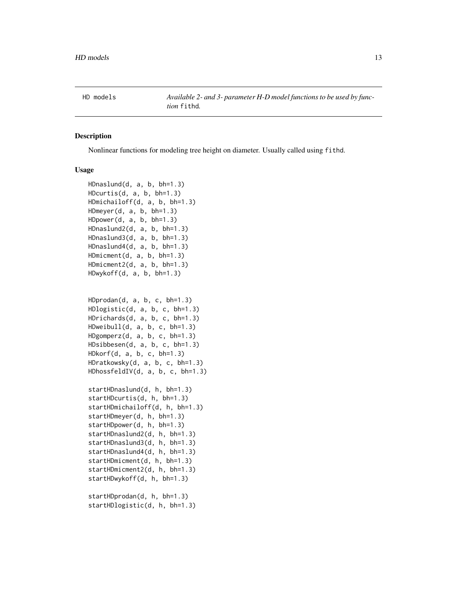<span id="page-12-0"></span>

# <span id="page-12-1"></span>Description

Nonlinear functions for modeling tree height on diameter. Usually called using fithd.

#### Usage

```
HDnaslund(d, a, b, bh=1.3)
HDcurtis(d, a, b, bh=1.3)
HDmichailoff(d, a, b, bh=1.3)
HDmeyer(d, a, b, bh=1.3)
HDpower(d, a, b, bh=1.3)
HDnaslund2(d, a, b, bh=1.3)
HDnaslund3(d, a, b, bh=1.3)
HDnaslund4(d, a, b, bh=1.3)
HDmicment(d, a, b, bh=1.3)
HDmicment2(d, a, b, bh=1.3)
HDwykoff(d, a, b, bh=1.3)
HDprodan(d, a, b, c, bh=1.3)
HDlogistic(d, a, b, c, bh=1.3)
HDrichards(d, a, b, c, bh=1.3)
HDweibull(d, a, b, c, bh=1.3)
HDgomperz(d, a, b, c, bh=1.3)
HDsibbesen(d, a, b, c, bh=1.3)
HDkorf(d, a, b, c, bh=1.3)
HDratkowsky(d, a, b, c, bh=1.3)
HDhossfeldIV(d, a, b, c, bh=1.3)
startHDnaslund(d, h, bh=1.3)
startHDcurtis(d, h, bh=1.3)
startHDmichailoff(d, h, bh=1.3)
startHDmeyer(d, h, bh=1.3)
startHDpower(d, h, bh=1.3)
startHDnaslund2(d, h, bh=1.3)
startHDnaslund3(d, h, bh=1.3)
startHDnaslund4(d, h, bh=1.3)
startHDmicment(d, h, bh=1.3)
startHDmicment2(d, h, bh=1.3)
startHDwykoff(d, h, bh=1.3)
startHDprodan(d, h, bh=1.3)
```
startHDlogistic(d, h, bh=1.3)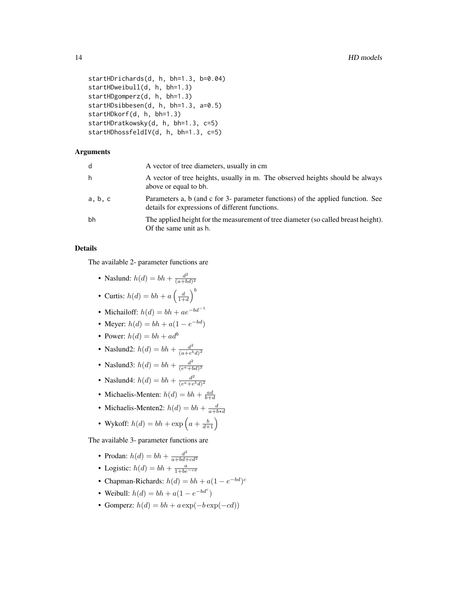```
startHDrichards(d, h, bh=1.3, b=0.04)
startHDweibull(d, h, bh=1.3)
startHDgomperz(d, h, bh=1.3)
startHDsibbesen(d, h, bh=1.3, a=0.5)
startHDkorf(d, h, bh=1.3)
startHDratkowsky(d, h, bh=1.3, c=5)
startHDhossfeldIV(d, h, bh=1.3, c=5)
```
# Arguments

| d       | A vector of tree diameters, usually in cm                                                                                          |
|---------|------------------------------------------------------------------------------------------------------------------------------------|
| h       | A vector of tree heights, usually in m. The observed heights should be always<br>above or equal to bh.                             |
| a, b, c | Parameters a, b (and c for 3- parameter functions) of the applied function. See<br>details for expressions of different functions. |
| bh      | The applied height for the measurement of tree diameter (so called breast height).<br>Of the same unit as h.                       |

# Details

The available 2- parameter functions are

• Naslund: 
$$
h(d) = bh + \frac{d^2}{(a+bd)^2}
$$

- Curtis:  $h(d) = bh + a \left(\frac{d}{1+d}\right)^b$
- Michailoff:  $h(d) = bh + ae^{-bd^{-1}}$
- Meyer:  $h(d) = bh + a(1 e^{-bd})$
- Power:  $h(d) = bh + ad^b$
- Naslund2:  $h(d) = bh + \frac{d^2}{(a+e^b)}$  $\overline{(a+e^b d)^2}$
- Naslund3:  $h(d) = bh + \frac{d^2}{(e^a + h)}$  $\overline{(e^a+bd)^2}$
- Naslund4:  $h(d) = bh + \frac{d^2}{de^a + e^a}$  $(e^a + e^b d)^2$
- Michaelis-Menten:  $h(d) = bh + \frac{ad}{b+d}$
- Michaelis-Menten2:  $h(d) = bh + \frac{d}{a+b*d}$
- Wykoff:  $h(d) = bh + \exp\left(a + \frac{b}{d+1}\right)$

The available 3- parameter functions are

- Prodan:  $h(d) = bh + \frac{d^2}{a + bd}$  $\overline{a+bd+cd^2}$
- Logistic:  $h(d) = bh + \frac{a}{1 + be^{-cd}}$
- Chapman-Richards:  $h(d) = bh + a(1 e^{-bd})^c$
- Weibull:  $h(d) = bh + a(1 e^{-bd^c})$
- Gomperz:  $h(d) = bh + a \exp(-b \exp(-cd))$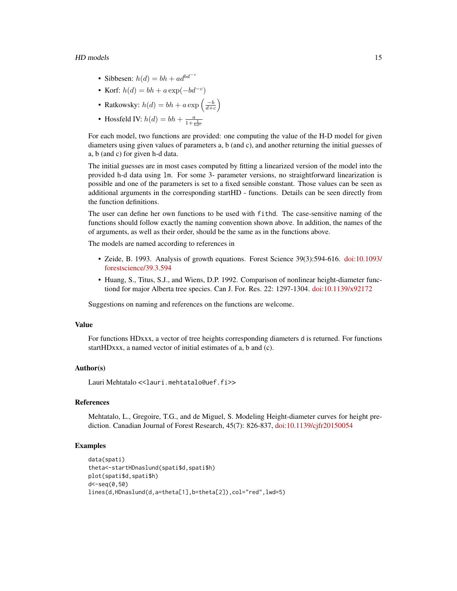$HD$  models  $15$ 

- Sibbesen:  $h(d) = bh + ad^{bd-c}$
- Korf:  $h(d) = bh + a \exp(-bd^{-c})$
- Ratkowsky:  $h(d) = bh + a \exp\left(\frac{-b}{d+c}\right)$
- Hossfeld IV:  $h(d) = bh + \frac{a}{1 + \frac{1}{bd^c}}$

For each model, two functions are provided: one computing the value of the H-D model for given diameters using given values of parameters a, b (and c), and another returning the initial guesses of a, b (and c) for given h-d data.

The initial guesses are in most cases computed by fitting a linearized version of the model into the provided h-d data using lm. For some 3- parameter versions, no straightforward linearization is possible and one of the parameters is set to a fixed sensible constant. Those values can be seen as additional arguments in the corresponding startHD - functions. Details can be seen directly from the function definitions.

The user can define her own functions to be used with fithd. The case-sensitive naming of the functions should follow exactly the naming convention shown above. In addition, the names of the of arguments, as well as their order, should be the same as in the functions above.

The models are named according to references in

- Zeide, B. 1993. Analysis of growth equations. Forest Science 39(3):594-616. [doi:10.1093/](https://doi.org/10.1093/forestscience/39.3.594) [forestscience/39.3.594](https://doi.org/10.1093/forestscience/39.3.594)
- Huang, S., Titus, S.J., and Wiens, D.P. 1992. Comparison of nonlinear height-diameter functiond for major Alberta tree species. Can J. For. Res. 22: 1297-1304. [doi:10.1139/x92172](https://doi.org/10.1139/x92-172)

Suggestions on naming and references on the functions are welcome.

#### Value

For functions HDxxx, a vector of tree heights corresponding diameters d is returned. For functions startHDxxx, a named vector of initial estimates of a, b and (c).

# Author(s)

Lauri Mehtatalo << lauri.mehtatalo@uef.fi>>

# References

Mehtatalo, L., Gregoire, T.G., and de Miguel, S. Modeling Height-diameter curves for height prediction. Canadian Journal of Forest Research, 45(7): 826-837, [doi:10.1139/cjfr20150054](https://doi.org/10.1139/cjfr-2015-0054)

# Examples

```
data(spati)
theta<-startHDnaslund(spati$d,spati$h)
plot(spati$d,spati$h)
d<-seq(0,50)
lines(d,HDnaslund(d,a=theta[1],b=theta[2]),col="red",lwd=5)
```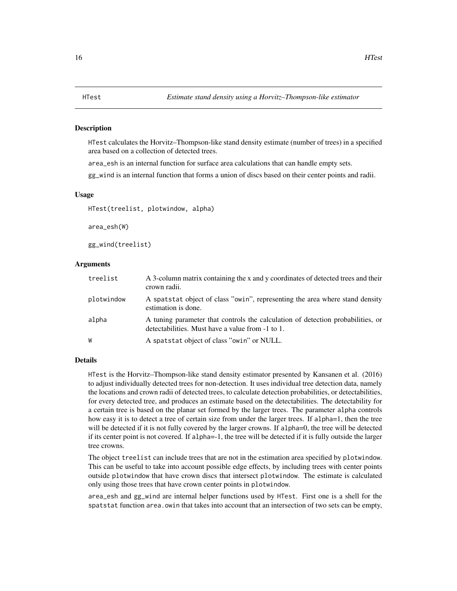#### <span id="page-15-0"></span>Description

HTest calculates the Horvitz–Thompson-like stand density estimate (number of trees) in a specified area based on a collection of detected trees.

area\_esh is an internal function for surface area calculations that can handle empty sets.

gg\_wind is an internal function that forms a union of discs based on their center points and radii.

#### Usage

HTest(treelist, plotwindow, alpha)

area\_esh(W)

gg\_wind(treelist)

# Arguments

| treelist   | A 3-column matrix containing the x and y coordinates of detected trees and their<br>crown radii.                                    |
|------------|-------------------------------------------------------------------------------------------------------------------------------------|
| plotwindow | A spatstat object of class "owin", representing the area where stand density<br>estimation is done.                                 |
| alpha      | A tuning parameter that controls the calculation of detection probabilities, or<br>detectabilities. Must have a value from -1 to 1. |
| W          | A spatstat object of class "owin" or NULL.                                                                                          |

#### Details

HTest is the Horvitz–Thompson-like stand density estimator presented by Kansanen et al. (2016) to adjust individually detected trees for non-detection. It uses individual tree detection data, namely the locations and crown radii of detected trees, to calculate detection probabilities, or detectabilities, for every detected tree, and produces an estimate based on the detectabilities. The detectability for a certain tree is based on the planar set formed by the larger trees. The parameter alpha controls how easy it is to detect a tree of certain size from under the larger trees. If alpha=1, then the tree will be detected if it is not fully covered by the larger crowns. If alpha=0, the tree will be detected if its center point is not covered. If alpha=-1, the tree will be detected if it is fully outside the larger tree crowns.

The object treelist can include trees that are not in the estimation area specified by plotwindow. This can be useful to take into account possible edge effects, by including trees with center points outside plotwindow that have crown discs that intersect plotwindow. The estimate is calculated only using those trees that have crown center points in plotwindow.

area\_esh and gg\_wind are internal helper functions used by HTest. First one is a shell for the spatstat function area.owin that takes into account that an intersection of two sets can be empty,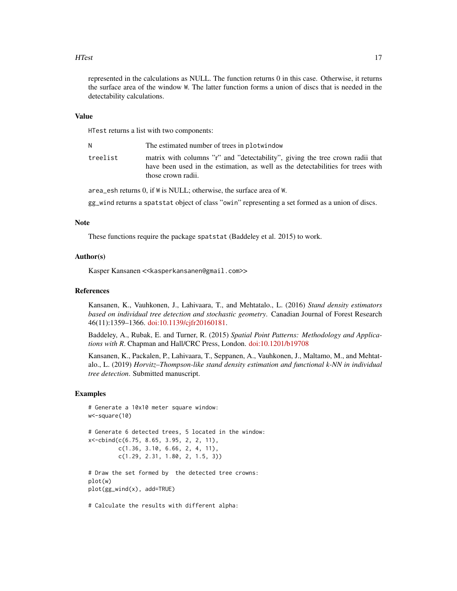#### HTest 17

represented in the calculations as NULL. The function returns 0 in this case. Otherwise, it returns the surface area of the window W. The latter function forms a union of discs that is needed in the detectability calculations.

# Value

HTest returns a list with two components:

| N        | The estimated number of trees in plotwindow                                                                                                                                            |
|----------|----------------------------------------------------------------------------------------------------------------------------------------------------------------------------------------|
| treelist | matrix with columns "r" and "detectability", giving the tree crown radii that<br>have been used in the estimation, as well as the detectabilities for trees with<br>those crown radii. |

area\_esh returns 0, if W is NULL; otherwise, the surface area of W.

gg\_wind returns a spatstat object of class "owin" representing a set formed as a union of discs.

#### Note

These functions require the package spatstat (Baddeley et al. 2015) to work.

# Author(s)

Kasper Kansanen << kasperkansanen@gmail.com>>

# References

Kansanen, K., Vauhkonen, J., Lahivaara, T., and Mehtatalo., L. (2016) *Stand density estimators based on individual tree detection and stochastic geometry*. Canadian Journal of Forest Research 46(11):1359–1366. [doi:10.1139/cjfr20160181.](https://doi.org/10.1139/cjfr-2016-0181)

Baddeley, A., Rubak, E. and Turner, R. (2015) *Spatial Point Patterns: Methodology and Applications with R*. Chapman and Hall/CRC Press, London. [doi:10.1201/b19708](https://doi.org/10.1201/b19708)

Kansanen, K., Packalen, P., Lahivaara, T., Seppanen, A., Vauhkonen, J., Maltamo, M., and Mehtatalo., L. (2019) *Horvitz–Thompson-like stand density estimation and functional k-NN in individual tree detection*. Submitted manuscript.

#### Examples

```
# Generate a 10x10 meter square window:
w<-square(10)
# Generate 6 detected trees, 5 located in the window:
x<-cbind(c(6.75, 8.65, 3.95, 2, 2, 11),
         c(1.36, 3.10, 6.66, 2, 4, 11),
         c(1.29, 2.31, 1.80, 2, 1.5, 3))
# Draw the set formed by the detected tree crowns:
plot(w)
plot(gg_wind(x), add=TRUE)
# Calculate the results with different alpha:
```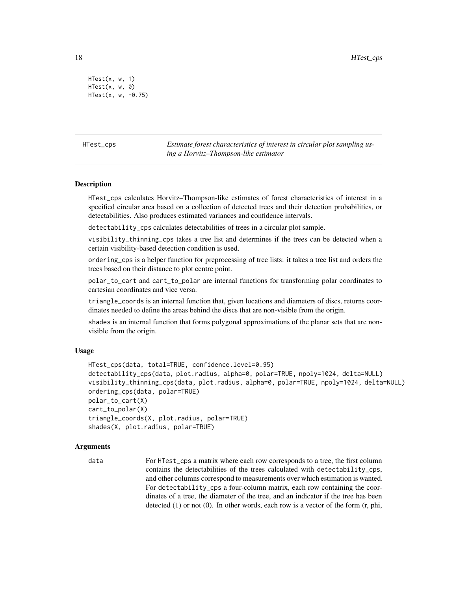```
HTest(x, w, 1)
HTest(x, w, 0)
HTest(x, w, -0.75)
```
HTest\_cps *Estimate forest characteristics of interest in circular plot sampling using a Horvitz–Thompson-like estimator*

# Description

HTest\_cps calculates Horvitz–Thompson-like estimates of forest characteristics of interest in a specified circular area based on a collection of detected trees and their detection probabilities, or detectabilities. Also produces estimated variances and confidence intervals.

detectability\_cps calculates detectabilities of trees in a circular plot sample.

visibility\_thinning\_cps takes a tree list and determines if the trees can be detected when a certain visibility-based detection condition is used.

ordering\_cps is a helper function for preprocessing of tree lists: it takes a tree list and orders the trees based on their distance to plot centre point.

polar\_to\_cart and cart\_to\_polar are internal functions for transforming polar coordinates to cartesian coordinates and vice versa.

triangle\_coords is an internal function that, given locations and diameters of discs, returns coordinates needed to define the areas behind the discs that are non-visible from the origin.

shades is an internal function that forms polygonal approximations of the planar sets that are nonvisible from the origin.

#### Usage

```
HTest_cps(data, total=TRUE, confidence.level=0.95)
detectability_cps(data, plot.radius, alpha=0, polar=TRUE, npoly=1024, delta=NULL)
visibility_thinning_cps(data, plot.radius, alpha=0, polar=TRUE, npoly=1024, delta=NULL)
ordering_cps(data, polar=TRUE)
polar_to_cart(X)
cart_to_polar(X)
triangle_coords(X, plot.radius, polar=TRUE)
shades(X, plot.radius, polar=TRUE)
```
# Arguments

```
data For HTest_cps a matrix where each row corresponds to a tree, the first column
                  contains the detectabilities of the trees calculated with detectability_cps,
                  and other columns correspond to measurements over which estimation is wanted.
                  For detectability_cps a four-column matrix, each row containing the coor-
                  dinates of a tree, the diameter of the tree, and an indicator if the tree has been
                  detected (1) or not (0). In other words, each row is a vector of the form (r, phi,
```
<span id="page-17-0"></span>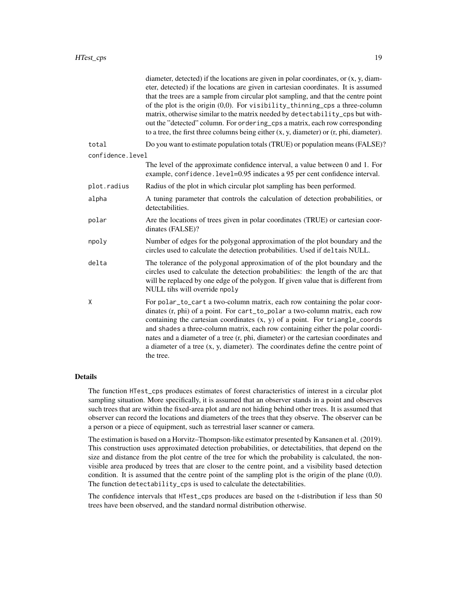|                  | diameter, detected) if the locations are given in polar coordinates, or $(x, y, diam-)$<br>eter, detected) if the locations are given in cartesian coordinates. It is assumed<br>that the trees are a sample from circular plot sampling, and that the centre point<br>of the plot is the origin $(0,0)$ . For visibility_thinning_cps a three-column<br>matrix, otherwise similar to the matrix needed by detectability_cps but with-<br>out the "detected" column. For ordering_cps a matrix, each row corresponding<br>to a tree, the first three columns being either $(x, y, diameter)$ or $(r, phi, diameter)$ . |
|------------------|------------------------------------------------------------------------------------------------------------------------------------------------------------------------------------------------------------------------------------------------------------------------------------------------------------------------------------------------------------------------------------------------------------------------------------------------------------------------------------------------------------------------------------------------------------------------------------------------------------------------|
| total            | Do you want to estimate population totals (TRUE) or population means (FALSE)?                                                                                                                                                                                                                                                                                                                                                                                                                                                                                                                                          |
| confidence.level |                                                                                                                                                                                                                                                                                                                                                                                                                                                                                                                                                                                                                        |
|                  | The level of the approximate confidence interval, a value between 0 and 1. For<br>example, confidence. level=0.95 indicates a 95 per cent confidence interval.                                                                                                                                                                                                                                                                                                                                                                                                                                                         |
| plot.radius      | Radius of the plot in which circular plot sampling has been performed.                                                                                                                                                                                                                                                                                                                                                                                                                                                                                                                                                 |
| alpha            | A tuning parameter that controls the calculation of detection probabilities, or<br>detectabilities.                                                                                                                                                                                                                                                                                                                                                                                                                                                                                                                    |
| polar            | Are the locations of trees given in polar coordinates (TRUE) or cartesian coor-<br>dinates (FALSE)?                                                                                                                                                                                                                                                                                                                                                                                                                                                                                                                    |
| npoly            | Number of edges for the polygonal approximation of the plot boundary and the<br>circles used to calculate the detection probabilities. Used if deltais NULL.                                                                                                                                                                                                                                                                                                                                                                                                                                                           |
| delta            | The tolerance of the polygonal approximation of of the plot boundary and the<br>circles used to calculate the detection probabilities: the length of the arc that<br>will be replaced by one edge of the polygon. If given value that is different from<br>NULL tihs will override npoly                                                                                                                                                                                                                                                                                                                               |
| Χ                | For polar_to_cart a two-column matrix, each row containing the polar coor-<br>dinates (r, phi) of a point. For cart_to_polar a two-column matrix, each row<br>containing the cartesian coordinates $(x, y)$ of a point. For triangle_coords<br>and shades a three-column matrix, each row containing either the polar coordi-<br>nates and a diameter of a tree (r, phi, diameter) or the cartesian coordinates and<br>a diameter of a tree $(x, y, diameter)$ . The coordinates define the centre point of<br>the tree.                                                                                               |

# Details

The function HTest\_cps produces estimates of forest characteristics of interest in a circular plot sampling situation. More specifically, it is assumed that an observer stands in a point and observes such trees that are within the fixed-area plot and are not hiding behind other trees. It is assumed that observer can record the locations and diameters of the trees that they observe. The observer can be a person or a piece of equipment, such as terrestrial laser scanner or camera.

The estimation is based on a Horvitz–Thompson-like estimator presented by Kansanen et al. (2019). This construction uses approximated detection probabilities, or detectabilities, that depend on the size and distance from the plot centre of the tree for which the probability is calculated, the nonvisible area produced by trees that are closer to the centre point, and a visibility based detection condition. It is assumed that the centre point of the sampling plot is the origin of the plane (0,0). The function detectability\_cps is used to calculate the detectabilities.

The confidence intervals that HTest\_cps produces are based on the t-distribution if less than 50 trees have been observed, and the standard normal distribution otherwise.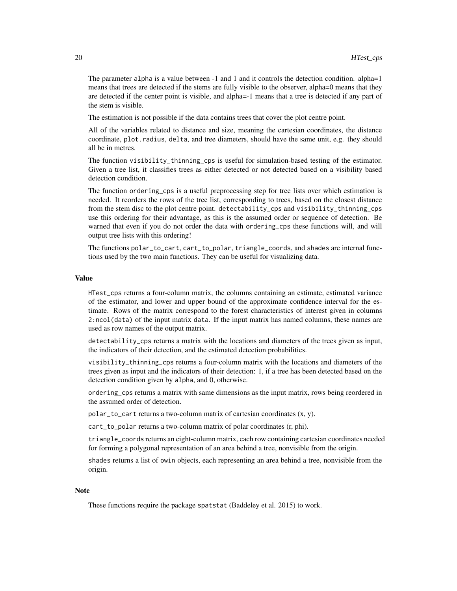The parameter alpha is a value between -1 and 1 and it controls the detection condition. alpha=1 means that trees are detected if the stems are fully visible to the observer, alpha=0 means that they are detected if the center point is visible, and alpha=-1 means that a tree is detected if any part of the stem is visible.

The estimation is not possible if the data contains trees that cover the plot centre point.

All of the variables related to distance and size, meaning the cartesian coordinates, the distance coordinate, plot.radius, delta, and tree diameters, should have the same unit, e.g. they should all be in metres.

The function visibility\_thinning\_cps is useful for simulation-based testing of the estimator. Given a tree list, it classifies trees as either detected or not detected based on a visibility based detection condition.

The function ordering\_cps is a useful preprocessing step for tree lists over which estimation is needed. It reorders the rows of the tree list, corresponding to trees, based on the closest distance from the stem disc to the plot centre point. detectability\_cps and visibility\_thinning\_cps use this ordering for their advantage, as this is the assumed order or sequence of detection. Be warned that even if you do not order the data with ordering\_cps these functions will, and will output tree lists with this ordering!

The functions polar\_to\_cart, cart\_to\_polar, triangle\_coords, and shades are internal functions used by the two main functions. They can be useful for visualizing data.

#### Value

HTest\_cps returns a four-column matrix, the columns containing an estimate, estimated variance of the estimator, and lower and upper bound of the approximate confidence interval for the estimate. Rows of the matrix correspond to the forest characteristics of interest given in columns 2:ncol(data) of the input matrix data. If the input matrix has named columns, these names are used as row names of the output matrix.

detectability\_cps returns a matrix with the locations and diameters of the trees given as input, the indicators of their detection, and the estimated detection probabilities.

visibility\_thinning\_cps returns a four-column matrix with the locations and diameters of the trees given as input and the indicators of their detection: 1, if a tree has been detected based on the detection condition given by alpha, and 0, otherwise.

ordering\_cps returns a matrix with same dimensions as the input matrix, rows being reordered in the assumed order of detection.

polar\_to\_cart returns a two-column matrix of cartesian coordinates (x, y).

cart\_to\_polar returns a two-column matrix of polar coordinates (r, phi).

triangle\_coords returns an eight-column matrix, each row containing cartesian coordinates needed for forming a polygonal representation of an area behind a tree, nonvisible from the origin.

shades returns a list of owin objects, each representing an area behind a tree, nonvisible from the origin.

#### Note

These functions require the package spatstat (Baddeley et al. 2015) to work.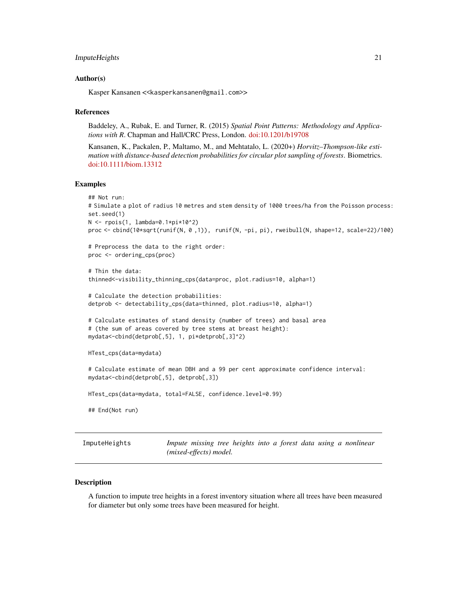```
ImputeHeights 21
```
#### Author(s)

Kasper Kansanen << kasperkansanen@gmail.com>>

#### References

Baddeley, A., Rubak, E. and Turner, R. (2015) *Spatial Point Patterns: Methodology and Applications with R*. Chapman and Hall/CRC Press, London. [doi:10.1201/b19708](https://doi.org/10.1201/b19708)

Kansanen, K., Packalen, P., Maltamo, M., and Mehtatalo, L. (2020+) *Horvitz–Thompson-like estimation with distance-based detection probabilities for circular plot sampling of forests*. Biometrics. [doi:10.1111/biom.13312](https://doi.org/10.1111/biom.13312)

# Examples

```
## Not run:
# Simulate a plot of radius 10 metres and stem density of 1000 trees/ha from the Poisson process:
set.seed(1)
N <- rpois(1, lambda=0.1*pi*10^2)
proc <- cbind(10*sqrt(runif(N, 0 ,1)), runif(N, -pi, pi), rweibull(N, shape=12, scale=22)/100)
# Preprocess the data to the right order:
proc <- ordering_cps(proc)
# Thin the data:
thinned<-visibility_thinning_cps(data=proc, plot.radius=10, alpha=1)
# Calculate the detection probabilities:
detprob <- detectability_cps(data=thinned, plot.radius=10, alpha=1)
# Calculate estimates of stand density (number of trees) and basal area
# (the sum of areas covered by tree stems at breast height):
mydata<-cbind(detprob[,5], 1, pi*detprob[,3]^2)
HTest_cps(data=mydata)
# Calculate estimate of mean DBH and a 99 per cent approximate confidence interval:
mydata<-cbind(detprob[,5], detprob[,3])
HTest_cps(data=mydata, total=FALSE, confidence.level=0.99)
## End(Not run)
```
<span id="page-20-1"></span>ImputeHeights *Impute missing tree heights into a forest data using a nonlinear (mixed-effects) model.*

#### **Description**

A function to impute tree heights in a forest inventory situation where all trees have been measured for diameter but only some trees have been measured for height.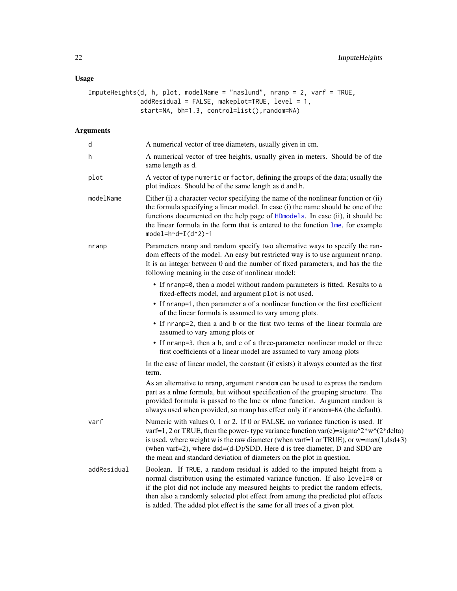# <span id="page-21-0"></span>Usage

```
ImputeHeights(d, h, plot, modelName = "naslund", nranp = 2, varf = TRUE,
              addResidual = FALSE, makeplot = TRUE, level = 1,start=NA, bh=1.3, control=list(),random=NA)
```
# Arguments

| d           | A numerical vector of tree diameters, usually given in cm.                                                                                                                                                                                                                                                                                                                                                                      |
|-------------|---------------------------------------------------------------------------------------------------------------------------------------------------------------------------------------------------------------------------------------------------------------------------------------------------------------------------------------------------------------------------------------------------------------------------------|
| h           | A numerical vector of tree heights, usually given in meters. Should be of the<br>same length as d.                                                                                                                                                                                                                                                                                                                              |
| plot        | A vector of type numeric or factor, defining the groups of the data; usually the<br>plot indices. Should be of the same length as d and h.                                                                                                                                                                                                                                                                                      |
| modelName   | Either (i) a character vector specifying the name of the nonlinear function or (ii)<br>the formula specifying a linear model. In case (i) the name should be one of the<br>functions documented on the help page of HDmodels. In case (ii), it should be<br>the linear formula in the form that is entered to the function $\mathbf{Im}$ , for example<br>model= $h^d+I(d^2)-1$                                                 |
| nranp       | Parameters nranp and random specify two alternative ways to specify the ran-<br>dom effects of the model. An easy but restricted way is to use argument nranp.<br>It is an integer between 0 and the number of fixed parameters, and has the the<br>following meaning in the case of nonlinear model:                                                                                                                           |
|             | • If nranp=0, then a model without random parameters is fitted. Results to a<br>fixed-effects model, and argument plot is not used.                                                                                                                                                                                                                                                                                             |
|             | • If nranp=1, then parameter a of a nonlinear function or the first coefficient<br>of the linear formula is assumed to vary among plots.                                                                                                                                                                                                                                                                                        |
|             | • If nranp=2, then a and b or the first two terms of the linear formula are<br>assumed to vary among plots or                                                                                                                                                                                                                                                                                                                   |
|             | • If nranp=3, then a b, and c of a three-parameter nonlinear model or three<br>first coefficients of a linear model are assumed to vary among plots                                                                                                                                                                                                                                                                             |
|             | In the case of linear model, the constant (if exists) it always counted as the first<br>term.                                                                                                                                                                                                                                                                                                                                   |
|             | As an alternative to nranp, argument random can be used to express the random<br>part as a nlme formula, but without specification of the grouping structure. The<br>provided formula is passed to the lme or nlme function. Argument random is<br>always used when provided, so nranp has effect only if random=NA (the default).                                                                                              |
| varf        | Numeric with values 0, 1 or 2. If 0 or FALSE, no variance function is used. If<br>varf=1, 2 or TRUE, then the power-type variance function var(e)= $signa^2*w^2(2*delta)$<br>is used. where weight w is the raw diameter (when varf=1 or TRUE), or $w = max(1, dsd + 3)$<br>(when varf=2), where dsd=(d-D)/SDD. Here d is tree diameter, D and SDD are<br>the mean and standard deviation of diameters on the plot in question. |
| addResidual | Boolean. If TRUE, a random residual is added to the imputed height from a<br>normal distribution using the estimated variance function. If also level=0 or<br>if the plot did not include any measured heights to predict the random effects,<br>then also a randomly selected plot effect from among the predicted plot effects<br>is added. The added plot effect is the same for all trees of a given plot.                  |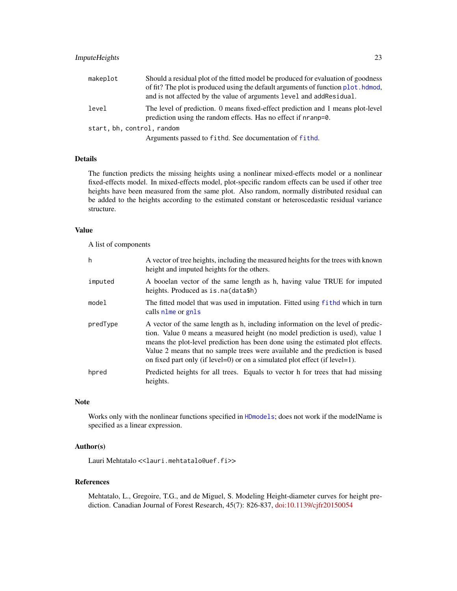<span id="page-22-0"></span>

| makeplot                   | Should a residual plot of the fitted model be produced for evaluation of goodness<br>of fit? The plot is produced using the default arguments of function plot. hdmod,<br>and is not affected by the value of arguments level and addResidual. |  |
|----------------------------|------------------------------------------------------------------------------------------------------------------------------------------------------------------------------------------------------------------------------------------------|--|
| level                      | The level of prediction. 0 means fixed-effect prediction and 1 means plot-level<br>prediction using the random effects. Has no effect if nranp=0.                                                                                              |  |
| start, bh, control, random |                                                                                                                                                                                                                                                |  |
|                            | Arguments passed to fithd. See documentation of fithd.                                                                                                                                                                                         |  |

#### Details

The function predicts the missing heights using a nonlinear mixed-effects model or a nonlinear fixed-effects model. In mixed-effects model, plot-specific random effects can be used if other tree heights have been measured from the same plot. Also random, normally distributed residual can be added to the heights according to the estimated constant or heteroscedastic residual variance structure.

# Value

A list of components

| h        | A vector of tree heights, including the measured heights for the trees with known<br>height and imputed heights for the others.                                                                                                                                                                                                                                                                                    |
|----------|--------------------------------------------------------------------------------------------------------------------------------------------------------------------------------------------------------------------------------------------------------------------------------------------------------------------------------------------------------------------------------------------------------------------|
| imputed  | A booelan vector of the same length as h, having value TRUE for imputed<br>heights. Produced as is. na (data\$h)                                                                                                                                                                                                                                                                                                   |
| model    | The fitted model that was used in imputation. Fitted using fithd which in turn<br>calls nlme or gnls                                                                                                                                                                                                                                                                                                               |
| predType | A vector of the same length as h, including information on the level of predic-<br>tion. Value 0 means a measured height (no model prediction is used), value 1<br>means the plot-level prediction has been done using the estimated plot effects.<br>Value 2 means that no sample trees were available and the prediction is based<br>on fixed part only (if level=0) or on a simulated plot effect (if level=1). |
| hpred    | Predicted heights for all trees. Equals to vector h for trees that had missing<br>heights.                                                                                                                                                                                                                                                                                                                         |

# Note

Works only with the nonlinear functions specified in [HDmodels](#page-12-1); does not work if the modelName is specified as a linear expression.

# Author(s)

Lauri Mehtatalo << lauri.mehtatalo@uef.fi>>

# References

Mehtatalo, L., Gregoire, T.G., and de Miguel, S. Modeling Height-diameter curves for height prediction. Canadian Journal of Forest Research, 45(7): 826-837, [doi:10.1139/cjfr20150054](https://doi.org/10.1139/cjfr-2015-0054)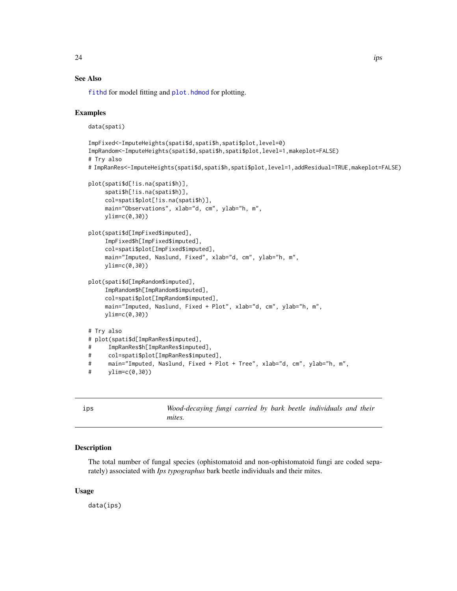# <span id="page-23-0"></span>See Also

[fithd](#page-8-1) for model fitting and [plot.hdmod](#page-36-1) for plotting.

# Examples

data(spati)

```
ImpFixed<-ImputeHeights(spati$d,spati$h,spati$plot,level=0)
ImpRandom<-ImputeHeights(spati$d,spati$h,spati$plot,level=1,makeplot=FALSE)
# Try also
# ImpRanRes<-ImputeHeights(spati$d,spati$h,spati$plot,level=1,addResidual=TRUE,makeplot=FALSE)
plot(spati$d[!is.na(spati$h)],
     spati$h[!is.na(spati$h)],
     col=spati$plot[!is.na(spati$h)],
     main="Observations", xlab="d, cm", ylab="h, m",
    ylim=c(0,30))
plot(spati$d[ImpFixed$imputed],
     ImpFixed$h[ImpFixed$imputed],
     col=spati$plot[ImpFixed$imputed],
     main="Imputed, Naslund, Fixed", xlab="d, cm", ylab="h, m",
    ylim=c(0,30))
plot(spati$d[ImpRandom$imputed],
     ImpRandom$h[ImpRandom$imputed],
     col=spati$plot[ImpRandom$imputed],
     main="Imputed, Naslund, Fixed + Plot", xlab="d, cm", ylab="h, m",
     ylim=c(0,30))
# Try also
# plot(spati$d[ImpRanRes$imputed],
# ImpRanRes$h[ImpRanRes$imputed],
# col=spati$plot[ImpRanRes$imputed],
# main="Imputed, Naslund, Fixed + Plot + Tree", xlab="d, cm", ylab="h, m",
# \qquad \text{ylim=c}(0,30)
```
ips *Wood-decaying fungi carried by bark beetle individuals and their mites.*

# Description

The total number of fungal species (ophistomatoid and non-ophistomatoid fungi are coded separately) associated with *Ips typographus* bark beetle individuals and their mites.

# Usage

data(ips)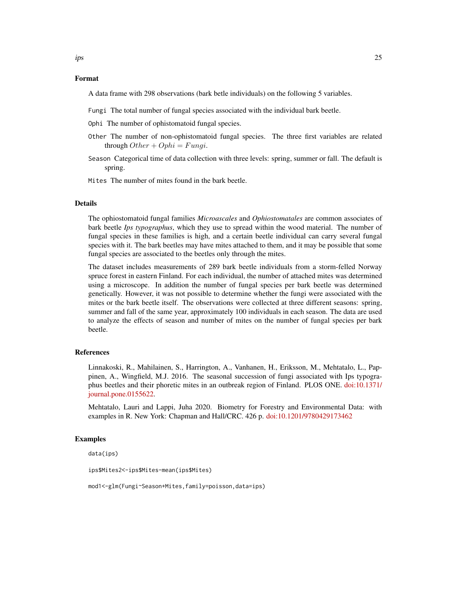A data frame with 298 observations (bark betle individuals) on the following 5 variables.

- Fungi The total number of fungal species associated with the individual bark beetle.
- Ophi The number of ophistomatoid fungal species.
- Other The number of non-ophistomatoid fungal species. The three first variables are related through  $Other + Ophi = Funqi$ .
- Season Categorical time of data collection with three levels: spring, summer or fall. The default is spring.
- Mites The number of mites found in the bark beetle.

#### Details

The ophiostomatoid fungal families *Microascales* and *Ophiostomatales* are common associates of bark beetle *Ips typographus*, which they use to spread within the wood material. The number of fungal species in these families is high, and a certain beetle individual can carry several fungal species with it. The bark beetles may have mites attached to them, and it may be possible that some fungal species are associated to the beetles only through the mites.

The dataset includes measurements of 289 bark beetle individuals from a storm-felled Norway spruce forest in eastern Finland. For each individual, the number of attached mites was determined using a microscope. In addition the number of fungal species per bark beetle was determined genetically. However, it was not possible to determine whether the fungi were associated with the mites or the bark beetle itself. The observations were collected at three different seasons: spring, summer and fall of the same year, approximately 100 individuals in each season. The data are used to analyze the effects of season and number of mites on the number of fungal species per bark beetle.

# References

Linnakoski, R., Mahilainen, S., Harrington, A., Vanhanen, H., Eriksson, M., Mehtatalo, L., Pappinen, A., Wingfield, M.J. 2016. The seasonal succession of fungi associated with Ips typographus beetles and their phoretic mites in an outbreak region of Finland. PLOS ONE. [doi:10.1371/](https://doi.org/10.1371/journal.pone.0155622) [journal.pone.0155622.](https://doi.org/10.1371/journal.pone.0155622)

Mehtatalo, Lauri and Lappi, Juha 2020. Biometry for Forestry and Environmental Data: with examples in R. New York: Chapman and Hall/CRC. 426 p. [doi:10.1201/9780429173462](https://doi.org/10.1201/9780429173462)

# Examples

data(ips)

```
ips$Mites2<-ips$Mites-mean(ips$Mites)
```
mod1<-glm(Fungi~Season+Mites,family=poisson,data=ips)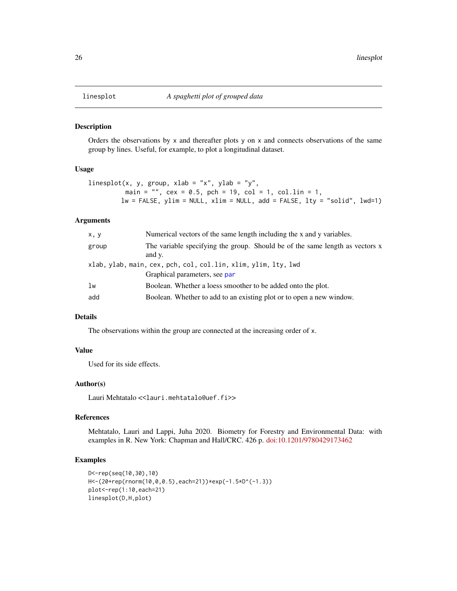<span id="page-25-0"></span>

#### Description

Orders the observations by  $x$  and thereafter plots  $y$  on  $x$  and connects observations of the same group by lines. Useful, for example, to plot a longitudinal dataset.

#### Usage

```
linesplot(x, y, group, xlab = "x", ylab = "y",
         main = "", cex = 0.5, pch = 19, col = 1, col.lin = 1,
        lw = FALSE, ylim = NULL, xlim = NULL, add = FALSE, lty = "solid", lwd=1)
```
#### Arguments

| x, y  | Numerical vectors of the same length including the x and y variables.                           |  |
|-------|-------------------------------------------------------------------------------------------------|--|
| group | The variable specifying the group. Should be of the same length as vectors x<br>and y.          |  |
|       | xlab, ylab, main, cex, pch, col, col.lin, xlim, ylim, lty, lwd<br>Graphical parameters, see par |  |
| lw    | Boolean. Whether a loess smoother to be added onto the plot.                                    |  |
| add   | Boolean. Whether to add to an existing plot or to open a new window.                            |  |

# Details

The observations within the group are connected at the increasing order of x.

# Value

Used for its side effects.

# Author(s)

Lauri Mehtatalo << lauri.mehtatalo@uef.fi>>

# References

Mehtatalo, Lauri and Lappi, Juha 2020. Biometry for Forestry and Environmental Data: with examples in R. New York: Chapman and Hall/CRC. 426 p. [doi:10.1201/9780429173462](https://doi.org/10.1201/9780429173462)

# Examples

```
D<-rep(seq(10,30),10)
H<-(20+rep(rnorm(10,0,0.5),each=21))*exp(-1.5*D^(-1.3))
plot<-rep(1:10,each=21)
linesplot(D,H,plot)
```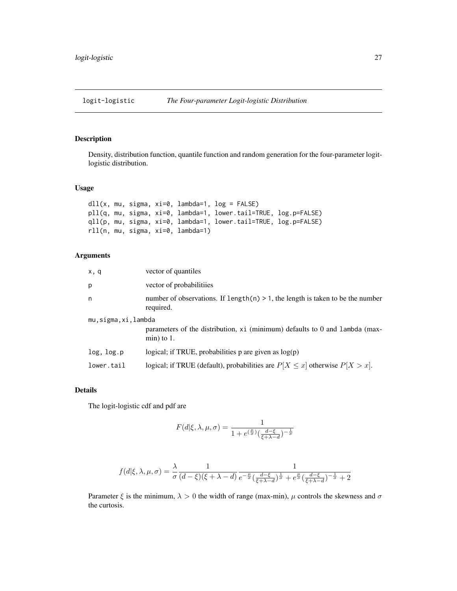<span id="page-26-0"></span>

# Description

Density, distribution function, quantile function and random generation for the four-parameter logitlogistic distribution.

# Usage

```
dll(x, mu, sigma, xi=0, lambda=1, log = FALSE)
pll(q, mu, sigma, xi=0, lambda=1, lower.tail=TRUE, log.p=FALSE)
qll(p, mu, sigma, xi=0, lambda=1, lower.tail=TRUE, log.p=FALSE)
rll(n, mu, sigma, xi=0, lambda=1)
```
# Arguments

| x, q               | vector of quantiles                                                                            |
|--------------------|------------------------------------------------------------------------------------------------|
| p                  | vector of probabilitiies                                                                       |
| n                  | number of observations. If length(n) $> 1$ , the length is taken to be the number<br>required. |
| mu,sigma,xi,lambda |                                                                                                |
|                    | parameters of the distribution, xi (minimum) defaults to 0 and lambda (max-<br>$min)$ to 1.    |
| log, log.p         | logical; if TRUE, probabilities $p$ are given as $log(p)$                                      |
| lower.tail         | logical; if TRUE (default), probabilities are $P[X \le x]$ otherwise $P[X > x]$ .              |

# Details

The logit-logistic cdf and pdf are

$$
F(d|\xi,\lambda,\mu,\sigma) = \frac{1}{1 + e^{\left(\frac{\mu}{\sigma}\right)} \left(\frac{d-\xi}{\xi+\lambda-d}\right)^{-\frac{1}{\sigma}}}
$$

$$
f(d|\xi,\lambda,\mu,\sigma)=\frac{\lambda}{\sigma}\frac{1}{(d-\xi)(\xi+\lambda-d)}\frac{1}{e^{-\frac{\mu}{\sigma}}(\frac{d-\xi}{\xi+\lambda-d})^{\frac{1}{\sigma}}+e^{\frac{\mu}{\sigma}}(\frac{d-\xi}{\xi+\lambda-d})^{-\frac{1}{\sigma}}+2}
$$

Parameter  $\xi$  is the minimum,  $\lambda > 0$  the width of range (max-min),  $\mu$  controls the skewness and  $\sigma$ the curtosis.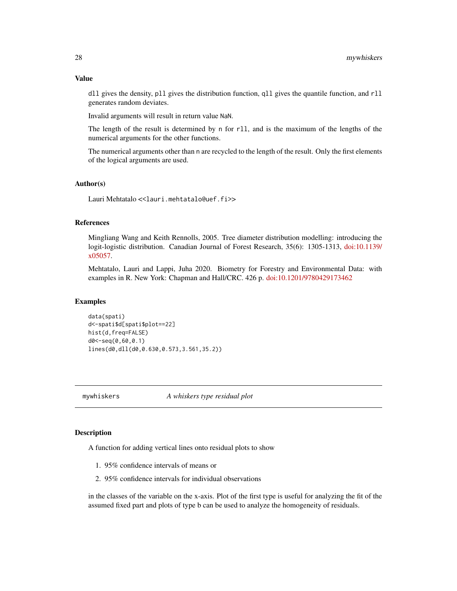# <span id="page-27-0"></span>Value

dll gives the density, pll gives the distribution function, qll gives the quantile function, and rll generates random deviates.

Invalid arguments will result in return value NaN.

The length of the result is determined by n for r11, and is the maximum of the lengths of the numerical arguments for the other functions.

The numerical arguments other than n are recycled to the length of the result. Only the first elements of the logical arguments are used.

# Author(s)

Lauri Mehtatalo << lauri.mehtatalo@uef.fi>>

# References

Mingliang Wang and Keith Rennolls, 2005. Tree diameter distribution modelling: introducing the logit-logistic distribution. Canadian Journal of Forest Research, 35(6): 1305-1313, [doi:10.1139/](https://doi.org/10.1139/x05-057) [x05057.](https://doi.org/10.1139/x05-057)

Mehtatalo, Lauri and Lappi, Juha 2020. Biometry for Forestry and Environmental Data: with examples in R. New York: Chapman and Hall/CRC. 426 p. [doi:10.1201/9780429173462](https://doi.org/10.1201/9780429173462)

# Examples

```
data(spati)
d<-spati$d[spati$plot==22]
hist(d,freq=FALSE)
d0<-seq(0,60,0.1)
lines(d0,dll(d0,0.630,0.573,3.561,35.2))
```
<span id="page-27-1"></span>mywhiskers *A whiskers type residual plot*

# **Description**

A function for adding vertical lines onto residual plots to show

- 1. 95% confidence intervals of means or
- 2. 95% confidence intervals for individual observations

in the classes of the variable on the x-axis. Plot of the first type is useful for analyzing the fit of the assumed fixed part and plots of type b can be used to analyze the homogeneity of residuals.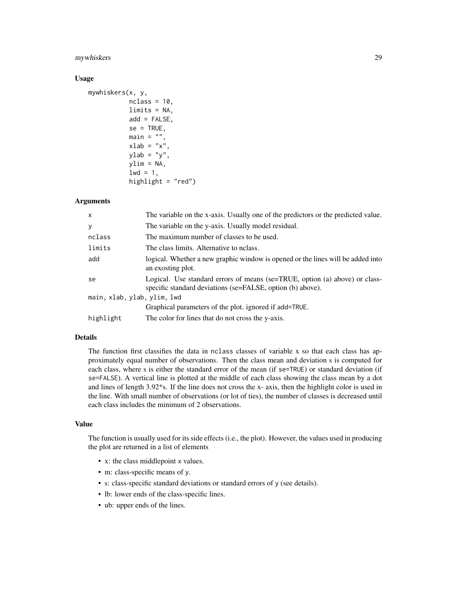# mywhiskers 29

#### Usage

```
mywhiskers(x, y,
           nclass = 10,
           limits = NA,
           add = FALSE,
           se = TRUE,main = "".xlab = "x"
           ylab = "y",
           ylim = NA,
           1wd = 1,
           highlight = "red")
```
# Arguments

| $\mathsf{x}$                | The variable on the x-axis. Usually one of the predictors or the predicted value.                                                         |  |
|-----------------------------|-------------------------------------------------------------------------------------------------------------------------------------------|--|
| y                           | The variable on the y-axis. Usually model residual.                                                                                       |  |
| nclass                      | The maximum number of classes to be used.                                                                                                 |  |
| limits                      | The class limits. Alternative to nclass.                                                                                                  |  |
| add                         | logical. Whether a new graphic window is opened or the lines will be added into<br>an exosting plot.                                      |  |
| se                          | Logical. Use standard errors of means (se=TRUE, option (a) above) or class-<br>specific standard deviations (se=FALSE, option (b) above). |  |
| main, xlab, ylab, ylim, lwd |                                                                                                                                           |  |
|                             | Graphical parameters of the plot. ignored if add=TRUE.                                                                                    |  |
| highlight                   | The color for lines that do not cross the y-axis.                                                                                         |  |

# Details

The function first classifies the data in nclass classes of variable x so that each class has approximately equal number of observations. Then the class mean and deviation s is computed for each class, where s is either the standard error of the mean (if se=TRUE) or standard deviation (if se=FALSE). A vertical line is plotted at the middle of each class showing the class mean by a dot and lines of length 3.92\*s. If the line does not cross the x- axis, then the highlight color is used in the line. With small number of observations (or lot of ties), the number of classes is decreased until each class includes the minimum of 2 observations.

# Value

The function is usually used for its side effects (i.e., the plot). However, the values used in producing the plot are returned in a list of elements

- x: the class middlepoint x values.
- m: class-specific means of y.
- s: class-specific standard deviations or standard errors of y (see details).
- lb: lower ends of the class-specific lines.
- ub: upper ends of the lines.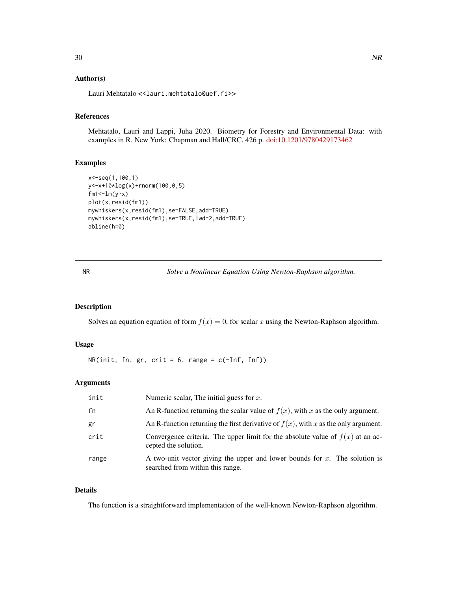# <span id="page-29-0"></span>Author(s)

Lauri Mehtatalo << lauri.mehtatalo@uef.fi>>

# References

Mehtatalo, Lauri and Lappi, Juha 2020. Biometry for Forestry and Environmental Data: with examples in R. New York: Chapman and Hall/CRC. 426 p. [doi:10.1201/9780429173462](https://doi.org/10.1201/9780429173462)

# Examples

```
x<-seq(1,100,1)
y<-x+10*log(x)+rnorm(100,0,5)
fm1<-lm(y-x)plot(x,resid(fm1))
mywhiskers(x,resid(fm1),se=FALSE,add=TRUE)
mywhiskers(x,resid(fm1),se=TRUE,lwd=2,add=TRUE)
abline(h=0)
```
<span id="page-29-1"></span>

NR *Solve a Nonlinear Equation Using Newton-Raphson algorithm.*

# Description

Solves an equation equation of form  $f(x) = 0$ , for scalar x using the Newton-Raphson algorithm.

# Usage

 $NR(int, fn, gr, crit = 6, range = c(-Inf, Inf))$ 

# Arguments

| init  | Numeric scalar, The initial guess for $x$ .                                                                       |
|-------|-------------------------------------------------------------------------------------------------------------------|
| fn    | An R-function returning the scalar value of $f(x)$ , with x as the only argument.                                 |
| gr    | An R-function returning the first derivative of $f(x)$ , with x as the only argument.                             |
| crit  | Convergence criteria. The upper limit for the absolute value of $f(x)$ at an ac-<br>cepted the solution.          |
| range | A two-unit vector giving the upper and lower bounds for $x$ . The solution is<br>searched from within this range. |

# Details

The function is a straightforward implementation of the well-known Newton-Raphson algorithm.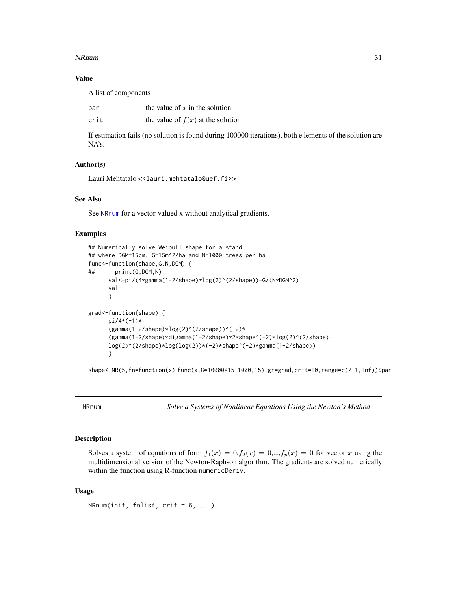# <span id="page-30-0"></span>NRnum 31

# Value

A list of components

| par  | the value of $x$ in the solution    |
|------|-------------------------------------|
| crit | the value of $f(x)$ at the solution |

If estimation fails (no solution is found during 100000 iterations), both e lements of the solution are NA's.

# Author(s)

Lauri Mehtatalo << lauri.mehtatalo@uef.fi>>

#### See Also

See [NRnum](#page-30-1) for a vector-valued x without analytical gradients.

# Examples

```
## Numerically solve Weibull shape for a stand
## where DGM=15cm, G=15m^2/ha and N=1000 trees per ha
func<-function(shape,G,N,DGM) {
## print(G,DGM,N)
      val<-pi/(4*gamma(1-2/shape)*log(2)^(2/shape))-G/(N*DGM^2)
      val
     }
grad<-function(shape) {
     pi/4*(-1)*
      (gamma(1-2/shape)*log(2)^(2/shape))^(-2)*(gamma(1-2/shape)*digamma(1-2/shape)*2*shape^(-2)*log(2)^(2/shape)+
     log(2)^(2/shape)*log(log(2))*(-2)*shape^(-2)*gamma(1-2/shape))
     }
```
shape<-NR(5,fn=function(x) func(x,G=10000\*15,1000,15),gr=grad,crit=10,range=c(2.1,Inf))\$par

<span id="page-30-1"></span>NRnum *Solve a Systems of Nonlinear Equations Using the Newton's Method*

# **Description**

Solves a system of equations of form  $f_1(x) = 0, f_2(x) = 0, \dots, f_p(x) = 0$  for vector x using the multidimensional version of the Newton-Raphson algorithm. The gradients are solved numerically within the function using R-function numericDeriv.

# Usage

NRnum(init, fnlist,  $crit = 6, ...$ )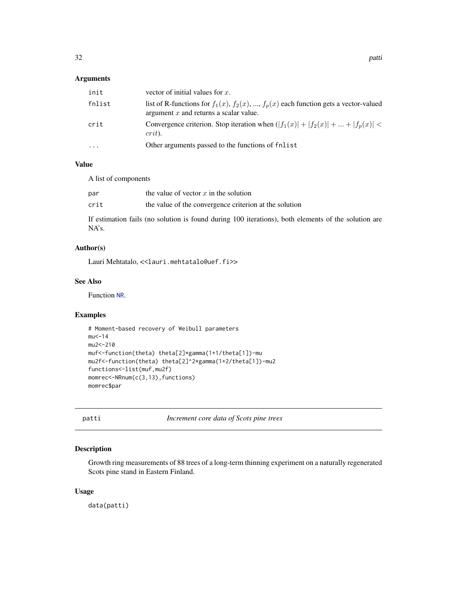# <span id="page-31-0"></span>Arguments

| init     | vector of initial values for $x$ .                                                                                                      |
|----------|-----------------------------------------------------------------------------------------------------------------------------------------|
| fnlist   | list of R-functions for $f_1(x)$ , $f_2(x)$ , , $f_p(x)$ each function gets a vector-valued<br>argument $x$ and returns a scalar value. |
| crit     | Convergence criterion. Stop iteration when $( f_1(x)  +  f_2(x)  +  +  f_p(x)  <$<br>$crit$ ).                                          |
| $\cdots$ | Other arguments passed to the functions of find is to                                                                                   |

# Value

A list of components

| par  | the value of vector $x$ in the solution                |
|------|--------------------------------------------------------|
| crit | the value of the convergence criterion at the solution |

If estimation fails (no solution is found during 100 iterations), both elements of the solution are NA's.

# Author(s)

Lauri Mehtatalo, << lauri.mehtatalo@uef.fi>>

# See Also

Function [NR](#page-29-1).

# Examples

```
# Moment-based recovery of Weibull parameters
mu < -14mu2<-210
muf<-function(theta) theta[2]*gamma(1+1/theta[1])-mu
mu2f<-function(theta) theta[2]^2*gamma(1+2/theta[1])-mu2
functions<-list(muf,mu2f)
momrec<-NRnum(c(3,13),functions)
momrec$par
```
<span id="page-31-1"></span>patti *Increment core data of Scots pine trees*

# Description

Growth ring measurements of 88 trees of a long-term thinning experiment on a naturally regenerated Scots pine stand in Eastern Finland.

#### Usage

data(patti)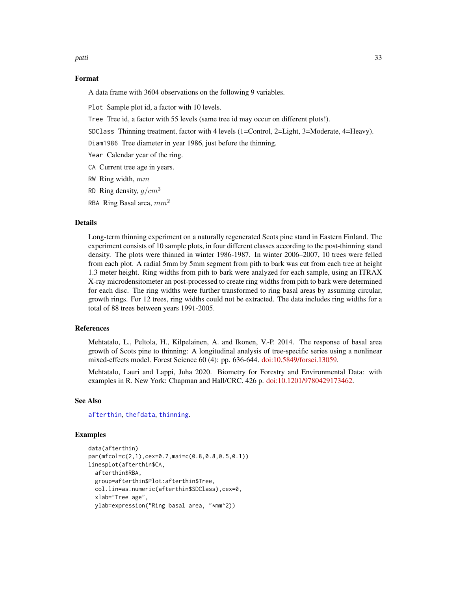<span id="page-32-0"></span>patti 33

# Format

A data frame with 3604 observations on the following 9 variables.

Plot Sample plot id, a factor with 10 levels.

Tree Tree id, a factor with 55 levels (same tree id may occur on different plots!).

SDClass Thinning treatment, factor with 4 levels (1=Control, 2=Light, 3=Moderate, 4=Heavy).

Diam1986 Tree diameter in year 1986, just before the thinning.

Year Calendar year of the ring.

- CA Current tree age in years.
- RW Ring width,  $mm$
- RD Ring density,  $q/cm^3$
- RBA Ring Basal area,  $mm<sup>2</sup>$

# Details

Long-term thinning experiment on a naturally regenerated Scots pine stand in Eastern Finland. The experiment consists of 10 sample plots, in four different classes according to the post-thinning stand density. The plots were thinned in winter 1986-1987. In winter 2006–2007, 10 trees were felled from each plot. A radial 5mm by 5mm segment from pith to bark was cut from each tree at height 1.3 meter height. Ring widths from pith to bark were analyzed for each sample, using an ITRAX X-ray microdensitometer an post-processed to create ring widths from pith to bark were determined for each disc. The ring widths were further transformed to ring basal areas by assuming circular, growth rings. For 12 trees, ring widths could not be extracted. The data includes ring widths for a total of 88 trees between years 1991-2005.

# References

Mehtatalo, L., Peltola, H., Kilpelainen, A. and Ikonen, V.-P. 2014. The response of basal area growth of Scots pine to thinning: A longitudinal analysis of tree-specific series using a nonlinear mixed-effects model. Forest Science 60 (4): pp. 636-644. [doi:10.5849/forsci.13059.](https://doi.org/10.5849/forsci.13-059)

Mehtatalo, Lauri and Lappi, Juha 2020. Biometry for Forestry and Environmental Data: with examples in R. New York: Chapman and Hall/CRC. 426 p. [doi:10.1201/9780429173462.](https://doi.org/10.1201/9780429173462)

# See Also

[afterthin](#page-2-1), [thefdata](#page-49-1), [thinning](#page-50-1).

# Examples

```
data(afterthin)
par(mfcol=c(2,1),cex=0.7,mai=c(0.8,0.8,0.5,0.1))
linesplot(afterthin$CA,
 afterthin$RBA,
 group=afterthin$Plot:afterthin$Tree,
 col.lin=as.numeric(afterthin$SDClass),cex=0,
 xlab="Tree age",
 ylab=expression("Ring basal area, "*mm^2))
```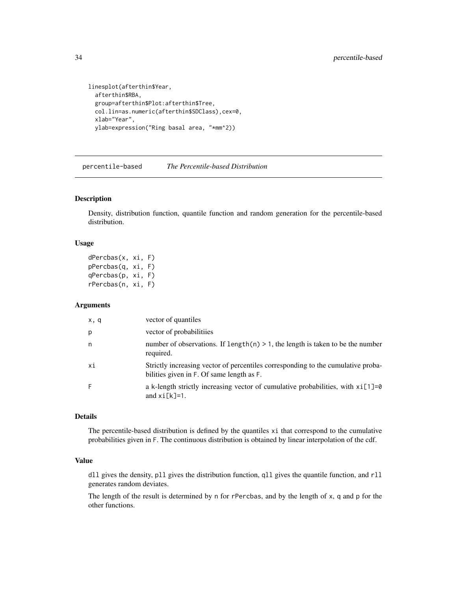```
linesplot(afterthin$Year,
  afterthin$RBA,
  group=afterthin$Plot:afterthin$Tree,
  col.lin=as.numeric(afterthin$SDClass),cex=0,
  xlab="Year",
  ylab=expression("Ring basal area, "*mm^2))
```
percentile-based *The Percentile-based Distribution*

#### Description

Density, distribution function, quantile function and random generation for the percentile-based distribution.

# Usage

dPercbas(x, xi, F) pPercbas(q, xi, F) qPercbas(p, xi, F) rPercbas(n, xi, F)

### Arguments

| x, q | vector of quantiles                                                                                                           |
|------|-------------------------------------------------------------------------------------------------------------------------------|
| p    | vector of probabilitiies                                                                                                      |
| n    | number of observations. If $length(n) > 1$ , the length is taken to be the number<br>required.                                |
| хi   | Strictly increasing vector of percentiles corresponding to the cumulative proba-<br>bilities given in F. Of same length as F. |
| F    | a k-length strictly increasing vector of cumulative probabilities, with $xi[1]=0$<br>and $xi[k]=1$ .                          |

# Details

The percentile-based distribution is defined by the quantiles xi that correspond to the cumulative probabilities given in F. The continuous distribution is obtained by linear interpolation of the cdf.

# Value

dll gives the density, pll gives the distribution function, qll gives the quantile function, and rll generates random deviates.

The length of the result is determined by n for rPercbas, and by the length of x, q and p for the other functions.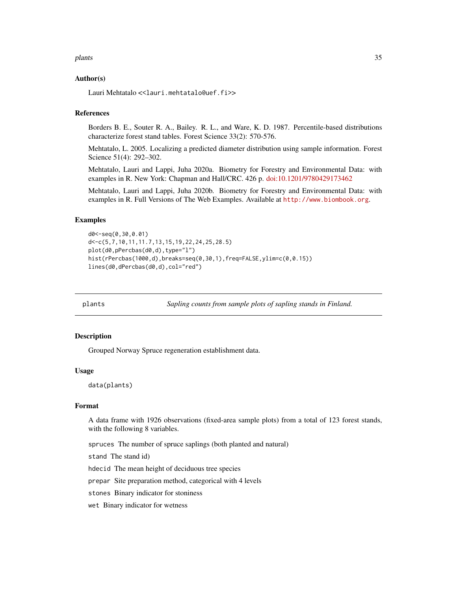#### <span id="page-34-0"></span>plants 35

# Author(s)

Lauri Mehtatalo << lauri.mehtatalo@uef.fi>>

# References

Borders B. E., Souter R. A., Bailey. R. L., and Ware, K. D. 1987. Percentile-based distributions characterize forest stand tables. Forest Science 33(2): 570-576.

Mehtatalo, L. 2005. Localizing a predicted diameter distribution using sample information. Forest Science 51(4): 292–302.

Mehtatalo, Lauri and Lappi, Juha 2020a. Biometry for Forestry and Environmental Data: with examples in R. New York: Chapman and Hall/CRC. 426 p. [doi:10.1201/9780429173462](https://doi.org/10.1201/9780429173462)

Mehtatalo, Lauri and Lappi, Juha 2020b. Biometry for Forestry and Environmental Data: with examples in R. Full Versions of The Web Examples. Available at <http://www.biombook.org>.

# Examples

```
d0<-seq(0,30,0.01)
d<-c(5,7,10,11,11.7,13,15,19,22,24,25,28.5)
plot(d0,pPercbas(d0,d),type="l")
hist(rPercbas(1000,d),breaks=seq(0,30,1),freq=FALSE,ylim=c(0,0.15))
lines(d0,dPercbas(d0,d),col="red")
```
plants *Sapling counts from sample plots of sapling stands in Finland.*

# **Description**

Grouped Norway Spruce regeneration establishment data.

#### Usage

data(plants)

#### Format

A data frame with 1926 observations (fixed-area sample plots) from a total of 123 forest stands, with the following 8 variables.

spruces The number of spruce saplings (both planted and natural)

stand The stand id)

hdecid The mean height of deciduous tree species

prepar Site preparation method, categorical with 4 levels

stones Binary indicator for stoniness

wet Binary indicator for wetness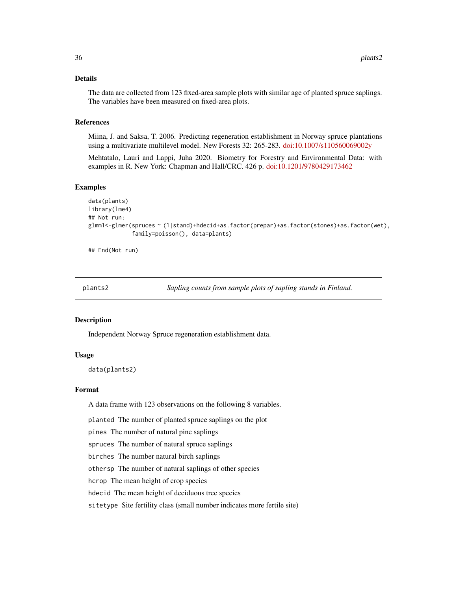# <span id="page-35-0"></span>Details

The data are collected from 123 fixed-area sample plots with similar age of planted spruce saplings. The variables have been measured on fixed-area plots.

# References

Miina, J. and Saksa, T. 2006. Predicting regeneration establishment in Norway spruce plantations using a multivariate multilevel model. New Forests 32: 265-283. [doi:10.1007/s110560069002y](https://doi.org/10.1007/s11056-006-9002-y)

Mehtatalo, Lauri and Lappi, Juha 2020. Biometry for Forestry and Environmental Data: with examples in R. New York: Chapman and Hall/CRC. 426 p. [doi:10.1201/9780429173462](https://doi.org/10.1201/9780429173462)

# Examples

```
data(plants)
library(lme4)
## Not run:
glmm1<-glmer(spruces ~ (1|stand)+hdecid+as.factor(prepar)+as.factor(stones)+as.factor(wet),
             family=poisson(), data=plants)
```
## End(Not run)

plants2 *Sapling counts from sample plots of sapling stands in Finland.*

# Description

Independent Norway Spruce regeneration establishment data.

# Usage

```
data(plants2)
```
#### Format

A data frame with 123 observations on the following 8 variables.

planted The number of planted spruce saplings on the plot

pines The number of natural pine saplings

spruces The number of natural spruce saplings

birches The number natural birch saplings

othersp The number of natural saplings of other species

hcrop The mean height of crop species

hdecid The mean height of deciduous tree species

sitetype Site fertility class (small number indicates more fertile site)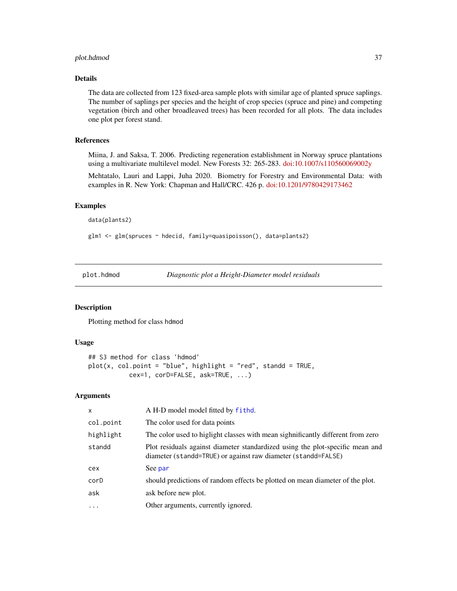# <span id="page-36-0"></span>plot.hdmod 37

# Details

The data are collected from 123 fixed-area sample plots with similar age of planted spruce saplings. The number of saplings per species and the height of crop species (spruce and pine) and competing vegetation (birch and other broadleaved trees) has been recorded for all plots. The data includes one plot per forest stand.

# References

Miina, J. and Saksa, T. 2006. Predicting regeneration establishment in Norway spruce plantations using a multivariate multilevel model. New Forests 32: 265-283. [doi:10.1007/s110560069002y](https://doi.org/10.1007/s11056-006-9002-y)

Mehtatalo, Lauri and Lappi, Juha 2020. Biometry for Forestry and Environmental Data: with examples in R. New York: Chapman and Hall/CRC. 426 p. [doi:10.1201/9780429173462](https://doi.org/10.1201/9780429173462)

#### Examples

data(plants2)

glm1 <- glm(spruces ~ hdecid, family=quasipoisson(), data=plants2)

<span id="page-36-1"></span>plot.hdmod *Diagnostic plot a Height-Diameter model residuals*

# Description

Plotting method for class hdmod

# Usage

```
## S3 method for class 'hdmod'
plot(x, col.point = "blue", highlight = "red", standd = TRUE,
           cex=1, corD=FALSE, ask=TRUE, ...)
```
#### Arguments

| A H-D model model fitted by fithd.                                                                                                             |
|------------------------------------------------------------------------------------------------------------------------------------------------|
| The color used for data points                                                                                                                 |
| The color used to highight classes with mean sighnificantly different from zero                                                                |
| Plot residuals against diameter standardized using the plot-specific mean and<br>diameter (standd=TRUE) or against raw diameter (standd=FALSE) |
| See par                                                                                                                                        |
| should predictions of random effects be plotted on mean diameter of the plot.                                                                  |
| ask before new plot.                                                                                                                           |
| Other arguments, currently ignored.                                                                                                            |
|                                                                                                                                                |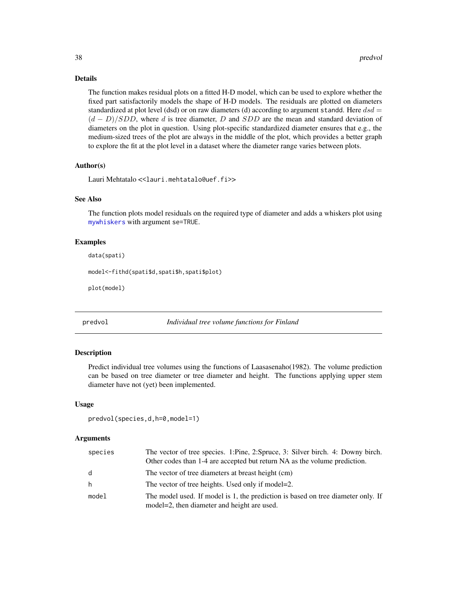# Details

The function makes residual plots on a fitted H-D model, which can be used to explore whether the fixed part satisfactorily models the shape of H-D models. The residuals are plotted on diameters standardized at plot level (dsd) or on raw diameters (d) according to argument standd. Here  $dsd =$  $(d - D)/SDD$ , where d is tree diameter, D and SDD are the mean and standard deviation of diameters on the plot in question. Using plot-specific standardized diameter ensures that e.g., the medium-sized trees of the plot are always in the middle of the plot, which provides a better graph to explore the fit at the plot level in a dataset where the diameter range varies between plots.

# Author(s)

Lauri Mehtatalo << lauri.mehtatalo@uef.fi>>

#### See Also

The function plots model residuals on the required type of diameter and adds a whiskers plot using [mywhiskers](#page-27-1) with argument se=TRUE.

# Examples

```
data(spati)
model<-fithd(spati$d,spati$h,spati$plot)
```
plot(model)

```
predvol Individual tree volume functions for Finland
```
# **Description**

Predict individual tree volumes using the functions of Laasasenaho(1982). The volume prediction can be based on tree diameter or tree diameter and height. The functions applying upper stem diameter have not (yet) been implemented.

# Usage

```
predvol(species,d,h=0,model=1)
```
#### Arguments

| species | The vector of tree species. 1:Pine, 2:Spruce, 3: Silver birch. 4: Downy birch.<br>Other codes than 1-4 are accepted but return NA as the volume prediction. |
|---------|-------------------------------------------------------------------------------------------------------------------------------------------------------------|
| d       | The vector of tree diameters at breast height (cm)                                                                                                          |
| h       | The vector of tree heights. Used only if model=2.                                                                                                           |
| model   | The model used. If model is 1, the prediction is based on tree diameter only. If<br>model=2, then diameter and height are used.                             |

<span id="page-37-0"></span>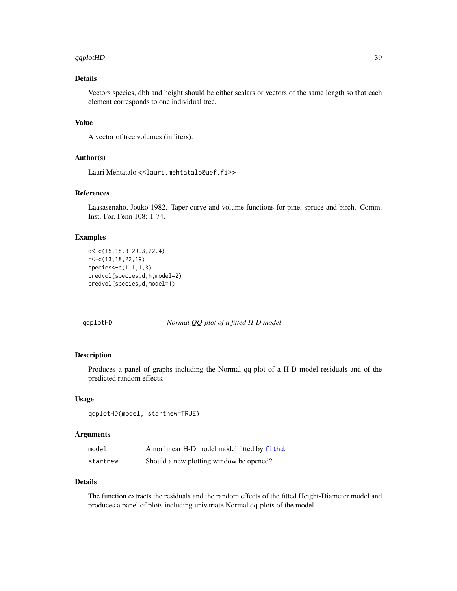#### <span id="page-38-0"></span>qqplotHD 39

# Details

Vectors species, dbh and height should be either scalars or vectors of the same length so that each element corresponds to one individual tree.

# Value

A vector of tree volumes (in liters).

# Author(s)

Lauri Mehtatalo << lauri.mehtatalo@uef.fi>>

# References

Laasasenaho, Jouko 1982. Taper curve and volume functions for pine, spruce and birch. Comm. Inst. For. Fenn 108: 1-74.

# Examples

```
d<-c(15,18.3,29.3,22.4)
h<-c(13,18,22,19)
species<-c(1,1,1,3)
predvol(species,d,h,model=2)
predvol(species,d,model=1)
```
qqplotHD *Normal QQ-plot of a fitted H-D model*

# Description

Produces a panel of graphs including the Normal qq-plot of a H-D model residuals and of the predicted random effects.

#### Usage

qqplotHD(model, startnew=TRUE)

# Arguments

| model    | A nonlinear H-D model model fitted by fithd. |
|----------|----------------------------------------------|
| startnew | Should a new plotting window be opened?      |

# Details

The function extracts the residuals and the random effects of the fitted Height-Diameter model and produces a panel of plots including univariate Normal qq-plots of the model.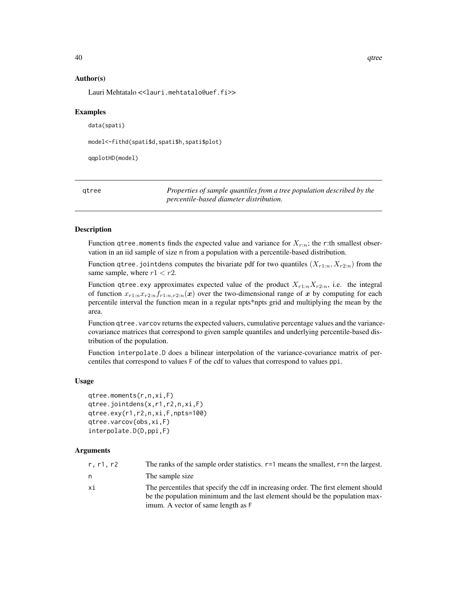# Author(s)

Lauri Mehtatalo << lauri.mehtatalo@uef.fi>>

# Examples

```
data(spati)
model<-fithd(spati$d,spati$h,spati$plot)
qqplotHD(model)
```

| gtree | Properties of sample quantiles from a tree population described by the |
|-------|------------------------------------------------------------------------|
|       | percentile-based diameter distribution.                                |

# Description

Function qtree. moments finds the expected value and variance for  $X_{r:n}$ ; the r:th smallest observation in an iid sample of size n from a population with a percentile-based distribution.

Function qtree. jointdens computes the bivariate pdf for two quantiles  $(X_{r1:n}, X_{r2:n})$  from the same sample, where  $r1 < r2$ .

Function qtree.exy approximates expected value of the product  $X_{r1:n}X_{r2:n}$ , i.e. the integral of function  $x_{r1:n}x_{r2:n}f_{r1:n,r2:n}(x)$  over the two-dimensional range of x by computing for each percentile interval the function mean in a regular npts\*npts grid and multiplying the mean by the area.

Function qtree. varcov returns the expected valuers, cumulative percentage values and the variancecovariance matrices that correspond to given sample quantiles and underlying percentile-based distribution of the population.

Function interpolate.D does a bilinear interpolation of the variance-covariance matrix of percentiles that correspond to values F of the cdf to values that correspond to values ppi.

# Usage

```
qtree.moments(r,n,xi,F)
qtree.jointdens(x,r1,r2,n,xi,F)
qtree.exy(r1,r2,n,xi,F,npts=100)
qtree.varcov(obs,xi,F)
interpolate.D(D,ppi,F)
```
#### Arguments

| r, r1, r2 | The ranks of the sample order statistics. $r=1$ means the smallest, $r=n$ the largest. |
|-----------|----------------------------------------------------------------------------------------|
| n         | The sample size                                                                        |
| xi        | The percentiles that specify the cdf in increasing order. The first element should     |
|           | be the population minimum and the last element should be the population max-           |
|           | imum. A vector of same length as F                                                     |

<span id="page-39-0"></span>40 qtree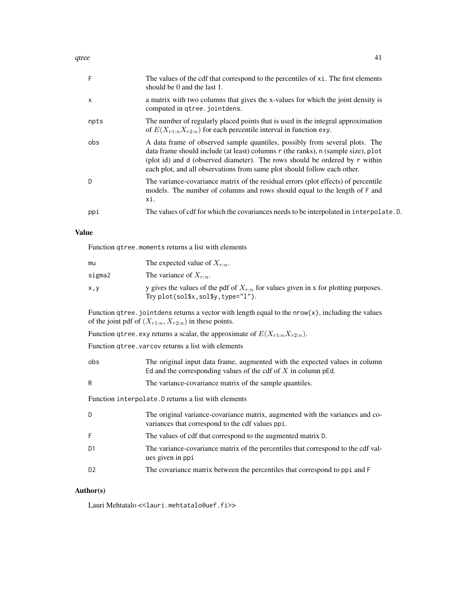| F    | The values of the cdf that correspond to the percentiles of xi. The first elements<br>should be 0 and the last 1.                                                                                                                                                                                                           |
|------|-----------------------------------------------------------------------------------------------------------------------------------------------------------------------------------------------------------------------------------------------------------------------------------------------------------------------------|
| X    | a matrix with two columns that gives the x-values for which the joint density is<br>computed in qtree.jointdens.                                                                                                                                                                                                            |
| npts | The number of regularly placed points that is used in the integral approximation<br>of $E(X_{r1:n}X_{r2:n})$ for each percentile interval in function exy.                                                                                                                                                                  |
| obs  | A data frame of observed sample quantiles, possibly from several plots. The<br>data frame should include (at least) columns r (the ranks), n (sample size), plot<br>(plot id) and d (observed diameter). The rows should be ordered by r within<br>each plot, and all observations from same plot should follow each other. |
| D    | The variance-covariance matrix of the residual errors (plot effects) of percentile<br>models. The number of columns and rows should equal to the length of F and<br>хi.                                                                                                                                                     |
| ppi  | The values of cdf for which the covariances needs to be interpolated in interpolate. D.                                                                                                                                                                                                                                     |
|      |                                                                                                                                                                                                                                                                                                                             |

#### Value

Function qtree.moments returns a list with elements

| mu     | The expected value of $X_{r:n}$ .                                                                                               |
|--------|---------------------------------------------------------------------------------------------------------------------------------|
| sigma2 | The variance of $X_{r,n}$ .                                                                                                     |
| X, Y   | y gives the values of the pdf of $X_{r:n}$ for values given in x for plotting purposes.<br>Try $plot(solsx, sol\$ y, type="1"). |

Function qtree. jointdens returns a vector with length equal to the  $nrow(x)$ , including the values of the joint pdf of  $(X_{r1:n}, X_{r2:n})$  in these points.

Function qtree.exy returns a scalar, the approximate of  $E(X_{r1:n}X_{r2:n})$ .

Function qtree. varcov returns a list with elements

| obs | The original input data frame, augmented with the expected values in column |
|-----|-----------------------------------------------------------------------------|
|     | Ed and the corresponding values of the cdf of $X$ in column pEd.            |

R The variance-covariance matrix of the sample quantiles.

Function interpolate.D returns a list with elements

| D              | The original variance-covariance matrix, augmented with the variances and co-<br>variances that correspond to the cdf values ppi. |
|----------------|-----------------------------------------------------------------------------------------------------------------------------------|
| F              | The values of cdf that correspond to the augmented matrix D.                                                                      |
| D <sub>1</sub> | The variance-covariance matrix of the percentiles that correspond to the cdf val-<br>ues given in ppi                             |
| D <sub>2</sub> | The covariance matrix between the percentiles that correspond to ppi and F                                                        |

# Author(s)

Lauri Mehtatalo << lauri.mehtatalo@uef.fi>>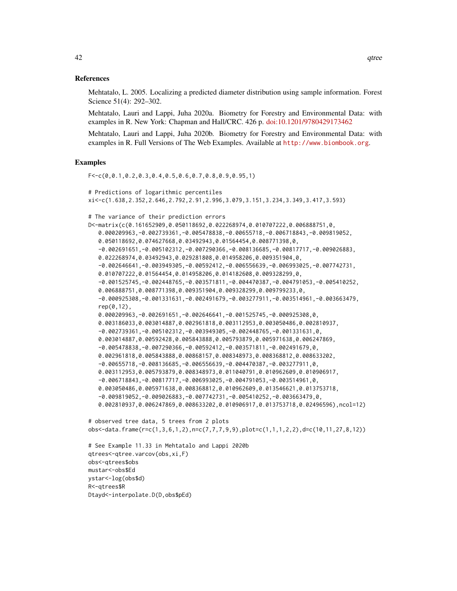Mehtatalo, L. 2005. Localizing a predicted diameter distribution using sample information. Forest Science 51(4): 292–302.

Mehtatalo, Lauri and Lappi, Juha 2020a. Biometry for Forestry and Environmental Data: with examples in R. New York: Chapman and Hall/CRC. 426 p. [doi:10.1201/9780429173462](https://doi.org/10.1201/9780429173462)

Mehtatalo, Lauri and Lappi, Juha 2020b. Biometry for Forestry and Environmental Data: with examples in R. Full Versions of The Web Examples. Available at <http://www.biombook.org>.

# Examples

```
F<-c(0,0.1,0.2,0.3,0.4,0.5,0.6,0.7,0.8,0.9,0.95,1)
# Predictions of logarithmic percentiles
xi<-c(1.638,2.352,2.646,2.792,2.91,2.996,3.079,3.151,3.234,3.349,3.417,3.593)
# The variance of their prediction errors
D<-matrix(c(0.161652909,0.050118692,0.022268974,0.010707222,0.006888751,0,
   0.000209963,-0.002739361,-0.005478838,-0.00655718,-0.006718843,-0.009819052,
   0.050118692,0.074627668,0.03492943,0.01564454,0.008771398,0,
   -0.002691651,-0.005102312,-0.007290366,-0.008136685,-0.00817717,-0.009026883,
   0.022268974,0.03492943,0.029281808,0.014958206,0.009351904,0,
   -0.002646641,-0.003949305,-0.00592412,-0.006556639,-0.006993025,-0.007742731,
   0.010707222,0.01564454,0.014958206,0.014182608,0.009328299,0,
   -0.001525745,-0.002448765,-0.003571811,-0.004470387,-0.004791053,-0.005410252,
   0.006888751,0.008771398,0.009351904,0.009328299,0.009799233,0,
   -0.000925308,-0.001331631,-0.002491679,-0.003277911,-0.003514961,-0.003663479,
   rep(0,12),
   0.000209963,-0.002691651,-0.002646641,-0.001525745,-0.000925308,0,
   0.003186033,0.003014887,0.002961818,0.003112953,0.003050486,0.002810937,
   -0.002739361,-0.005102312,-0.003949305,-0.002448765,-0.001331631,0,
   0.003014887,0.00592428,0.005843888,0.005793879,0.005971638,0.006247869,
   -0.005478838,-0.007290366,-0.00592412,-0.003571811,-0.002491679,0,
   0.002961818,0.005843888,0.00868157,0.008348973,0.008368812,0.008633202,
   -0.00655718,-0.008136685,-0.006556639,-0.004470387,-0.003277911,0,
   0.003112953,0.005793879,0.008348973,0.011040791,0.010962609,0.010906917,
   -0.006718843,-0.00817717,-0.006993025,-0.004791053,-0.003514961,0,
   0.003050486,0.005971638,0.008368812,0.010962609,0.013546621,0.013753718,
   -0.009819052,-0.009026883,-0.007742731,-0.005410252,-0.003663479,0,
   0.002810937,0.006247869,0.008633202,0.010906917,0.013753718,0.02496596),ncol=12)
```

```
# observed tree data, 5 trees from 2 plots
obs<-data.frame(r=c(1,3,6,1,2),n=c(7,7,7,9,9),plot=c(1,1,1,2,2),d=c(10,11,27,8,12))
```

```
# See Example 11.33 in Mehtatalo and Lappi 2020b
qtrees<-qtree.varcov(obs,xi,F)
obs<-qtrees$obs
mustar<-obs$Ed
ystar<-log(obs$d)
R<-qtrees$R
Dtayd<-interpolate.D(D,obs$pEd)
```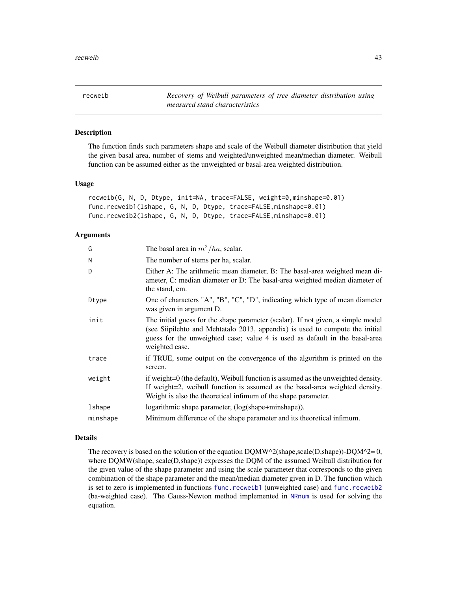<span id="page-42-2"></span><span id="page-42-0"></span>recweib *Recovery of Weibull parameters of tree diameter distribution using measured stand characteristics*

# <span id="page-42-1"></span>Description

The function finds such parameters shape and scale of the Weibull diameter distribution that yield the given basal area, number of stems and weighted/unweighted mean/median diameter. Weibull function can be assumed either as the unweighted or basal-area weighted distribution.

# Usage

```
recweib(G, N, D, Dtype, init=NA, trace=FALSE, weight=0,minshape=0.01)
func.recweib1(lshape, G, N, D, Dtype, trace=FALSE,minshape=0.01)
func.recweib2(lshape, G, N, D, Dtype, trace=FALSE,minshape=0.01)
```
# **Arguments**

| G        | The basal area in $m^2/ha$ , scalar.                                                                                                                                                                                                                              |
|----------|-------------------------------------------------------------------------------------------------------------------------------------------------------------------------------------------------------------------------------------------------------------------|
| N        | The number of stems per ha, scalar.                                                                                                                                                                                                                               |
| D        | Either A: The arithmetic mean diameter, B: The basal-area weighted mean di-<br>ameter, C: median diameter or D: The basal-area weighted median diameter of<br>the stand, cm.                                                                                      |
| Dtype    | One of characters "A", "B", "C", "D", indicating which type of mean diameter<br>was given in argument D.                                                                                                                                                          |
| init     | The initial guess for the shape parameter (scalar). If not given, a simple model<br>(see Siipilehto and Mehtatalo 2013, appendix) is used to compute the initial<br>guess for the unweighted case; value 4 is used as default in the basal-area<br>weighted case. |
| trace    | if TRUE, some output on the convergence of the algorithm is printed on the<br>screen.                                                                                                                                                                             |
| weight   | if weight=0 (the default), Weibull function is assumed as the unweighted density.<br>If weight=2, weibull function is assumed as the basal-area weighted density.<br>Weight is also the theoretical infimum of the shape parameter.                               |
| lshape   | logarithmic shape parameter, (log(shape+minshape)).                                                                                                                                                                                                               |
| minshape | Minimum difference of the shape parameter and its theoretical infimum.                                                                                                                                                                                            |

#### Details

The recovery is based on the solution of the equation  $DQMW^2(shape, scale(D, shape))$ - $DQM^2= 0$ , where DQMW(shape, scale(D,shape)) expresses the DQM of the assumed Weibull distribution for the given value of the shape parameter and using the scale parameter that corresponds to the given combination of the shape parameter and the mean/median diameter given in D. The function which is set to zero is implemented in functions [func.recweib1](#page-42-1) (unweighted case) and [func.recweib2](#page-42-1) (ba-weighted case). The Gauss-Newton method implemented in [NRnum](#page-30-1) is used for solving the equation.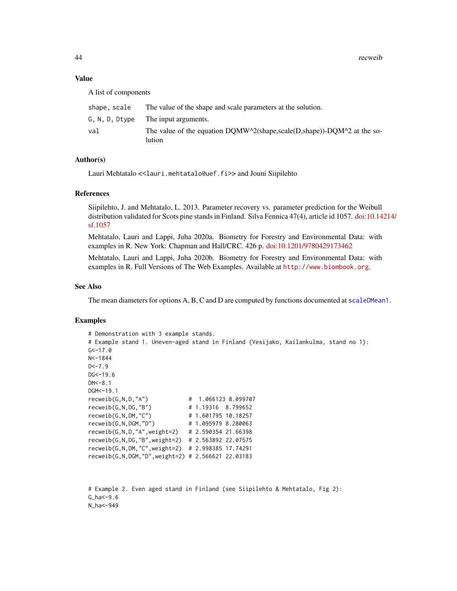44 recweib

#### Value

A list of components

| shape. scale | The value of the shape and scale parameters at the solution.                      |
|--------------|-----------------------------------------------------------------------------------|
|              | G, N, D, Dtype The input arguments.                                               |
| val          | The value of the equation DQMW^2(shape,scale(D,shape))-DQM^2 at the so-<br>lution |

# Author(s)

Lauri Mehtatalo << lauri.mehtatalo@uef.fi>> and Jouni Siipilehto

# References

Siipilehto, J. and Mehtatalo, L. 2013. Parameter recovery vs. parameter prediction for the Weibull distribution validated for Scots pine stands in Finland. Silva Fennica 47(4), article id 1057. [doi:10.14](https://doi.org/10.14214/sf.1057)214/ [sf.1057](https://doi.org/10.14214/sf.1057)

Mehtatalo, Lauri and Lappi, Juha 2020a. Biometry for Forestry and Environmental Data: with examples in R. New York: Chapman and Hall/CRC. 426 p. [doi:10.1201/9780429173462](https://doi.org/10.1201/9780429173462)

Mehtatalo, Lauri and Lappi, Juha 2020b. Biometry for Forestry and Environmental Data: with examples in R. Full Versions of The Web Examples. Available at <http://www.biombook.org>.

#### See Also

The mean diameters for options A, B, C and D are computed by functions documented at [scaleDMean1](#page-44-1).

#### Examples

```
# Demonstration with 3 example stands.
# Example stand 1. Uneven-aged stand in Finland (Vesijako, Kailankulma, stand no 1):
G < -17.0N<-1844
D < -7.9DG < -19.6DM<-8.1
DGM<-19.1
recweib(G,N,D,"A") # 1.066123 8.099707
recweib(G,N,DG,"B") # 1.19316 8.799652
recweib(G,N,DM,"C") # 1.601795 10.18257
recweib(G,N,DGM,"D") # 1.095979 8.280063
recweib(G,N,D,"A",weight=2) # 2.590354 21.66398
recweib(G,N,DG,"B",weight=2) # 2.563892 22.07575
recweib(G,N,DM,"C",weight=2) # 2.998385 17.74291
recweib(G,N,DGM,"D",weight=2) # 2.566621 22.03183
```

```
# Example 2. Even aged stand in Finland (see Siipilehto & Mehtatalo, Fig 2):
G_ha<-9.6N_ha<-949
```
<span id="page-43-0"></span>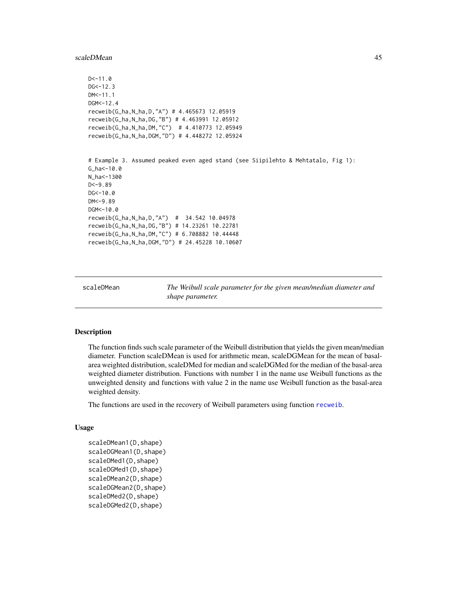#### <span id="page-44-0"></span>scaleDMean 45

```
D < -11.0DG<-12.3DM<-11.1
DGM < -12.4recweib(G_ha,N_ha,D,"A") # 4.465673 12.05919
recweib(G_ha,N_ha,DG,"B") # 4.463991 12.05912
recweib(G_ha,N_ha,DM,"C") # 4.410773 12.05949
recweib(G_ha,N_ha,DGM,"D") # 4.448272 12.05924
# Example 3. Assumed peaked even aged stand (see Siipilehto & Mehtatalo, Fig 1):
G_ha<-10.0
N_ha<-1300
D < -9.89DG<-10.0DM<-9.89
DGM <- 10.0
recweib(G_ha,N_ha,D,"A") # 34.542 10.04978
recweib(G_ha,N_ha,DG,"B") # 14.23261 10.22781
recweib(G_ha,N_ha,DM,"C") # 6.708882 10.44448
recweib(G_ha,N_ha,DGM,"D") # 24.45228 10.10607
```
scaleDMean *The Weibull scale parameter for the given mean/median diameter and shape parameter.*

#### <span id="page-44-1"></span>Description

The function finds such scale parameter of the Weibull distribution that yields the given mean/median diameter. Function scaleDMean is used for arithmetic mean, scaleDGMean for the mean of basalarea weighted distribution, scaleDMed for median and scaleDGMed for the median of the basal-area weighted diameter distribution. Functions with number 1 in the name use Weibull functions as the unweighted density and functions with value 2 in the name use Weibull function as the basal-area weighted density.

The functions are used in the recovery of Weibull parameters using function [recweib](#page-42-2).

# Usage

```
scaleDMean1(D,shape)
scaleDGMean1(D,shape)
scaleDMed1(D,shape)
scaleDGMed1(D,shape)
scaleDMean2(D,shape)
scaleDGMean2(D,shape)
scaleDMed2(D, shape)
scaleDGMed2(D,shape)
```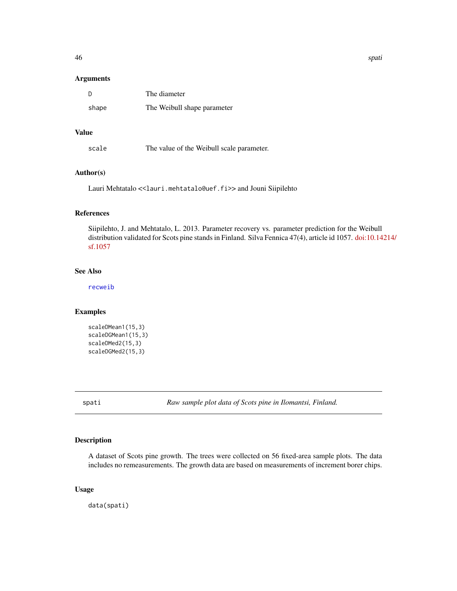<span id="page-45-0"></span>

# Arguments

| - D   | The diameter                |
|-------|-----------------------------|
| shape | The Weibull shape parameter |

# Value

scale The value of the Weibull scale parameter.

# Author(s)

Lauri Mehtatalo << lauri.mehtatalo@uef.fi>> and Jouni Siipilehto

# References

Siipilehto, J. and Mehtatalo, L. 2013. Parameter recovery vs. parameter prediction for the Weibull distribution validated for Scots pine stands in Finland. Silva Fennica 47(4), article id 1057. [doi:10.14](https://doi.org/10.14214/sf.1057)214/ [sf.1057](https://doi.org/10.14214/sf.1057)

# See Also

[recweib](#page-42-2)

# Examples

```
scaleDMean1(15,3)
scaleDGMean1(15,3)
scaleDMed2(15,3)
scaleDGMed2(15,3)
```
spati *Raw sample plot data of Scots pine in Ilomantsi, Finland.*

# Description

A dataset of Scots pine growth. The trees were collected on 56 fixed-area sample plots. The data includes no remeasurements. The growth data are based on measurements of increment borer chips.

# Usage

data(spati)

46 spati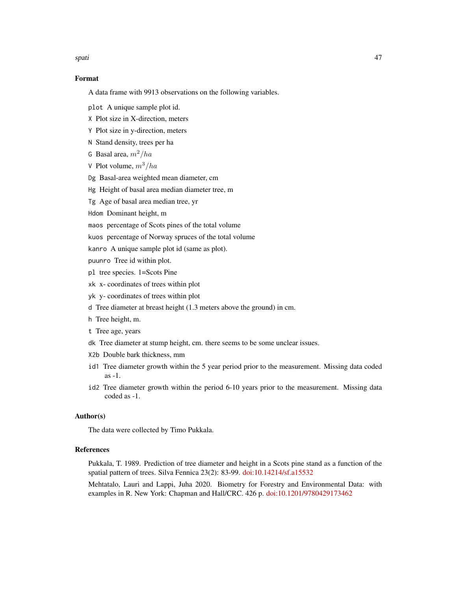spati and the set of the set of the set of the set of the set of the set of the set of the set of the set of the set of the set of the set of the set of the set of the set of the set of the set of the set of the set of the

# Format

A data frame with 9913 observations on the following variables.

plot A unique sample plot id.

X Plot size in X-direction, meters

Y Plot size in y-direction, meters

N Stand density, trees per ha

G Basal area,  $m^2/ha$ 

V Plot volume,  $m^3/ha$ 

Dg Basal-area weighted mean diameter, cm

Hg Height of basal area median diameter tree, m

Tg Age of basal area median tree, yr

Hdom Dominant height, m

maos percentage of Scots pines of the total volume

kuos percentage of Norway spruces of the total volume

kanro A unique sample plot id (same as plot).

puunro Tree id within plot.

pl tree species. 1=Scots Pine

xk x- coordinates of trees within plot

yk y- coordinates of trees within plot

d Tree diameter at breast height (1.3 meters above the ground) in cm.

h Tree height, m.

t Tree age, years

dk Tree diameter at stump height, cm. there seems to be some unclear issues.

X2b Double bark thickness, mm

id1 Tree diameter growth within the 5 year period prior to the measurement. Missing data coded as -1.

id2 Tree diameter growth within the period 6-10 years prior to the measurement. Missing data coded as -1.

# Author(s)

The data were collected by Timo Pukkala.

# References

Pukkala, T. 1989. Prediction of tree diameter and height in a Scots pine stand as a function of the spatial pattern of trees. Silva Fennica 23(2): 83-99. [doi:10.14214/sf.a15532](https://doi.org/10.14214/sf.a15532)

Mehtatalo, Lauri and Lappi, Juha 2020. Biometry for Forestry and Environmental Data: with examples in R. New York: Chapman and Hall/CRC. 426 p. [doi:10.1201/9780429173462](https://doi.org/10.1201/9780429173462)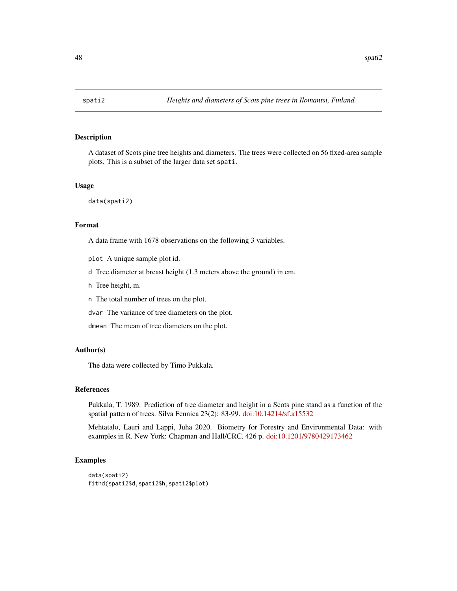<span id="page-47-0"></span>

# Description

A dataset of Scots pine tree heights and diameters. The trees were collected on 56 fixed-area sample plots. This is a subset of the larger data set spati.

#### Usage

data(spati2)

# Format

A data frame with 1678 observations on the following 3 variables.

plot A unique sample plot id.

d Tree diameter at breast height (1.3 meters above the ground) in cm.

h Tree height, m.

n The total number of trees on the plot.

dvar The variance of tree diameters on the plot.

dmean The mean of tree diameters on the plot.

#### Author(s)

The data were collected by Timo Pukkala.

# References

Pukkala, T. 1989. Prediction of tree diameter and height in a Scots pine stand as a function of the spatial pattern of trees. Silva Fennica 23(2): 83-99. [doi:10.14214/sf.a15532](https://doi.org/10.14214/sf.a15532)

Mehtatalo, Lauri and Lappi, Juha 2020. Biometry for Forestry and Environmental Data: with examples in R. New York: Chapman and Hall/CRC. 426 p. [doi:10.1201/9780429173462](https://doi.org/10.1201/9780429173462)

#### Examples

```
data(spati2)
fithd(spati2$d,spati2$h,spati2$plot)
```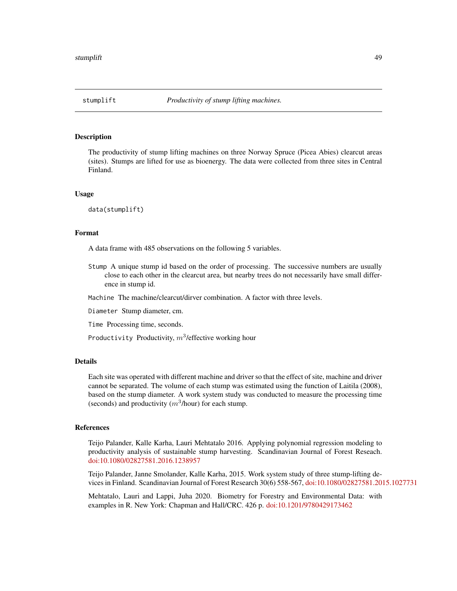<span id="page-48-0"></span>

#### Description

The productivity of stump lifting machines on three Norway Spruce (Picea Abies) clearcut areas (sites). Stumps are lifted for use as bioenergy. The data were collected from three sites in Central Finland.

#### Usage

data(stumplift)

# Format

A data frame with 485 observations on the following 5 variables.

Stump A unique stump id based on the order of processing. The successive numbers are usually close to each other in the clearcut area, but nearby trees do not necessarily have small difference in stump id.

Machine The machine/clearcut/dirver combination. A factor with three levels.

Diameter Stump diameter, cm.

Time Processing time, seconds.

Productivity Productivity,  $m^3$ /effective working hour

# Details

Each site was operated with different machine and driver so that the effect of site, machine and driver cannot be separated. The volume of each stump was estimated using the function of Laitila (2008), based on the stump diameter. A work system study was conducted to measure the processing time (seconds) and productivity  $(m^3/h$ our) for each stump.

# References

Teijo Palander, Kalle Karha, Lauri Mehtatalo 2016. Applying polynomial regression modeling to productivity analysis of sustainable stump harvesting. Scandinavian Journal of Forest Reseach. [doi:10.1080/02827581.2016.1238957](https://doi.org/10.1080/02827581.2016.1238957%20)

Teijo Palander, Janne Smolander, Kalle Karha, 2015. Work system study of three stump-lifting devices in Finland. Scandinavian Journal of Forest Research 30(6) 558-567, [doi:10.1080/02827581.2015.1027731](https://doi.org/10.1080/02827581.2015.1027731)

Mehtatalo, Lauri and Lappi, Juha 2020. Biometry for Forestry and Environmental Data: with examples in R. New York: Chapman and Hall/CRC. 426 p. [doi:10.1201/9780429173462](https://doi.org/10.1201/9780429173462)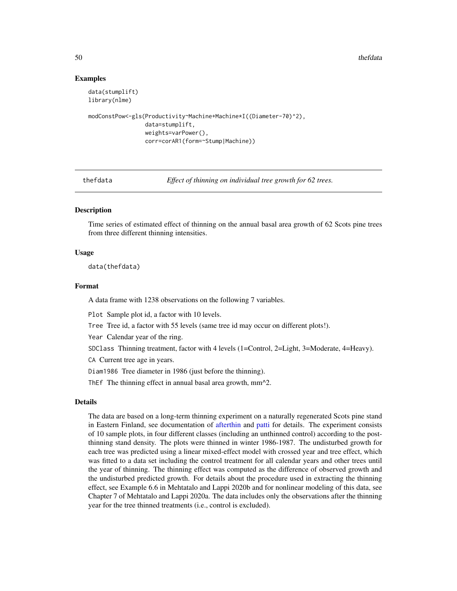50 the fdata and the set of the set of the set of the set of the set of the set of the set of the set of the set of the set of the set of the set of the set of the set of the set of the set of the set of the set of the set

# Examples

```
data(stumplift)
library(nlme)
modConstPow<-gls(Productivity~Machine+Machine*I((Diameter-70)^2),
```

```
data=stumplift,
weights=varPower(),
corr=corAR1(form=~Stump|Machine))
```
<span id="page-49-1"></span>

thefdata *Effect of thinning on individual tree growth for 62 trees.*

# **Description**

Time series of estimated effect of thinning on the annual basal area growth of 62 Scots pine trees from three different thinning intensities.

#### Usage

data(thefdata)

#### Format

A data frame with 1238 observations on the following 7 variables.

Plot Sample plot id, a factor with 10 levels.

Tree Tree id, a factor with 55 levels (same tree id may occur on different plots!).

Year Calendar year of the ring.

SDClass Thinning treatment, factor with 4 levels (1=Control, 2=Light, 3=Moderate, 4=Heavy).

CA Current tree age in years.

Diam1986 Tree diameter in 1986 (just before the thinning).

ThEf The thinning effect in annual basal area growth, mm^2.

# Details

The data are based on a long-term thinning experiment on a naturally regenerated Scots pine stand in Eastern Finland, see documentation of [afterthin](#page-2-1) and [patti](#page-31-1) for details. The experiment consists of 10 sample plots, in four different classes (including an unthinned control) according to the postthinning stand density. The plots were thinned in winter 1986-1987. The undisturbed growth for each tree was predicted using a linear mixed-effect model with crossed year and tree effect, which was fitted to a data set including the control treatment for all calendar years and other trees until the year of thinning. The thinning effect was computed as the difference of observed growth and the undisturbed predicted growth. For details about the procedure used in extracting the thinning effect, see Example 6.6 in Mehtatalo and Lappi 2020b and for nonlinear modeling of this data, see Chapter 7 of Mehtatalo and Lappi 2020a. The data includes only the observations after the thinning year for the tree thinned treatments (i.e., control is excluded).

<span id="page-49-0"></span>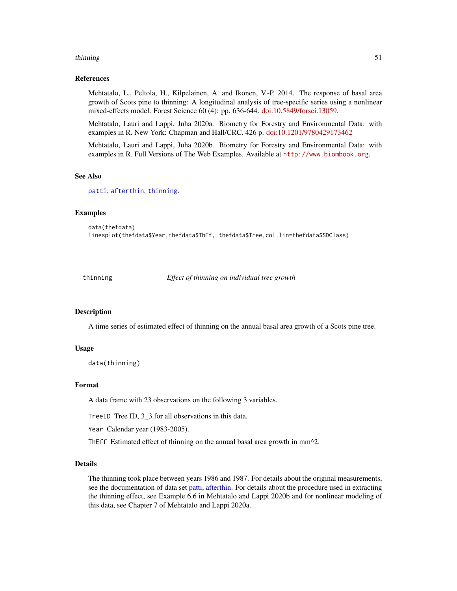#### <span id="page-50-0"></span>thinning 51

# References

Mehtatalo, L., Peltola, H., Kilpelainen, A. and Ikonen, V.-P. 2014. The response of basal area growth of Scots pine to thinning: A longitudinal analysis of tree-specific series using a nonlinear mixed-effects model. Forest Science 60 (4): pp. 636-644. [doi:10.5849/forsci.13059.](https://doi.org/10.5849/forsci.13-059)

Mehtatalo, Lauri and Lappi, Juha 2020a. Biometry for Forestry and Environmental Data: with examples in R. New York: Chapman and Hall/CRC. 426 p. [doi:10.1201/9780429173462](https://doi.org/10.1201/9780429173462)

Mehtatalo, Lauri and Lappi, Juha 2020b. Biometry for Forestry and Environmental Data: with examples in R. Full Versions of The Web Examples. Available at <http://www.biombook.org>.

# See Also

[patti](#page-31-1), [afterthin](#page-2-1), [thinning](#page-50-1).

# **Examples**

data(thefdata) linesplot(thefdata\$Year,thefdata\$ThEf, thefdata\$Tree,col.lin=thefdata\$SDClass)

<span id="page-50-1"></span>thinning *Effect of thinning on individual tree growth*

# Description

A time series of estimated effect of thinning on the annual basal area growth of a Scots pine tree.

# Usage

```
data(thinning)
```
# Format

A data frame with 23 observations on the following 3 variables.

TreeID Tree ID, 3\_3 for all observations in this data.

Year Calendar year (1983-2005).

ThEff Estimated effect of thinning on the annual basal area growth in mm^2.

# Details

The thinning took place between years 1986 and 1987. For details about the original measurements, see the documentation of data set [patti,](#page-31-1) [afterthin.](#page-2-1) For details about the procedure used in extracting the thinning effect, see Example 6.6 in Mehtatalo and Lappi 2020b and for nonlinear modeling of this data, see Chapter 7 of Mehtatalo and Lappi 2020a.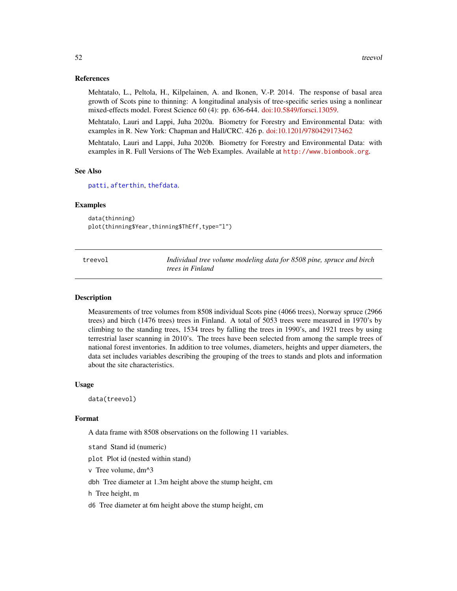# <span id="page-51-0"></span>References

Mehtatalo, L., Peltola, H., Kilpelainen, A. and Ikonen, V.-P. 2014. The response of basal area growth of Scots pine to thinning: A longitudinal analysis of tree-specific series using a nonlinear mixed-effects model. Forest Science 60 (4): pp. 636-644. [doi:10.5849/forsci.13059.](https://doi.org/10.5849/forsci.13-059)

Mehtatalo, Lauri and Lappi, Juha 2020a. Biometry for Forestry and Environmental Data: with examples in R. New York: Chapman and Hall/CRC. 426 p. [doi:10.1201/9780429173462](https://doi.org/10.1201/9780429173462)

Mehtatalo, Lauri and Lappi, Juha 2020b. Biometry for Forestry and Environmental Data: with examples in R. Full Versions of The Web Examples. Available at <http://www.biombook.org>.

#### See Also

[patti](#page-31-1), [afterthin](#page-2-1), [thefdata](#page-49-1).

#### Examples

data(thinning) plot(thinning\$Year,thinning\$ThEff,type="l")

| treevol | Individual tree volume modeling data for 8508 pine, spruce and birch |
|---------|----------------------------------------------------------------------|
|         | <i>trees in Finland</i>                                              |

#### **Description**

Measurements of tree volumes from 8508 individual Scots pine (4066 trees), Norway spruce (2966 trees) and birch (1476 trees) trees in Finland. A total of 5053 trees were measured in 1970's by climbing to the standing trees, 1534 trees by falling the trees in 1990's, and 1921 trees by using terrestrial laser scanning in 2010's. The trees have been selected from among the sample trees of national forest inventories. In addition to tree volumes, diameters, heights and upper diameters, the data set includes variables describing the grouping of the trees to stands and plots and information about the site characteristics.

#### Usage

data(treevol)

# Format

A data frame with 8508 observations on the following 11 variables.

stand Stand id (numeric)

plot Plot id (nested within stand)

v Tree volume, dm^3

dbh Tree diameter at 1.3m height above the stump height, cm

h Tree height, m

d6 Tree diameter at 6m height above the stump height, cm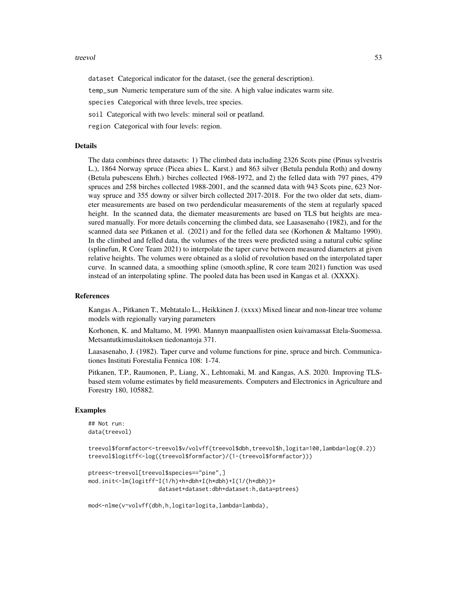#### treevol 53

dataset Categorical indicator for the dataset, (see the general description).

temp\_sum Numeric temperature sum of the site. A high value indicates warm site.

species Categorical with three levels, tree species.

soil Categorical with two levels: mineral soil or peatland.

region Categorical with four levels: region.

# Details

The data combines three datasets: 1) The climbed data including 2326 Scots pine (Pinus sylvestris L.), 1864 Norway spruce (Picea abies L. Karst.) and 863 silver (Betula pendula Roth) and downy (Betula pubescens Ehrh.) birches collected 1968-1972, and 2) the felled data with 797 pines, 479 spruces and 258 birches collected 1988-2001, and the scanned data with 943 Scots pine, 623 Norway spruce and 355 downy or silver birch collected 2017-2018. For the two older dat sets, diameter measurements are based on two perdendicular measurements of the stem at regularly spaced height. In the scanned data, the diemater measurements are based on TLS but heights are measured manually. For more details concerning the climbed data, see Laasasenaho (1982), and for the scanned data see Pitkanen et al. (2021) and for the felled data see (Korhonen & Maltamo 1990). In the climbed and felled data, the volumes of the trees were predicted using a natural cubic spline (splinefun, R Core Team 2021) to interpolate the taper curve between measured diameters at given relative heights. The volumes were obtained as a slolid of revolution based on the interpolated taper curve. In scanned data, a smoothing spline (smooth.spline, R core team 2021) function was used instead of an interpolating spline. The pooled data has been used in Kangas et al. (XXXX).

# References

Kangas A., Pitkanen T., Mehtatalo L., Heikkinen J. (xxxx) Mixed linear and non-linear tree volume models with regionally varying parameters

Korhonen, K. and Maltamo, M. 1990. Mannyn maanpaallisten osien kuivamassat Etela-Suomessa. Metsantutkimuslaitoksen tiedonantoja 371.

Laasasenaho, J. (1982). Taper curve and volume functions for pine, spruce and birch. Communicationes Instituti Forestalia Fennica 108: 1-74.

Pitkanen, T.P., Raumonen, P., Liang, X., Lehtomaki, M. and Kangas, A.S. 2020. Improving TLSbased stem volume estimates by field measurements. Computers and Electronics in Agriculture and Forestry 180, 105882.

#### Examples

```
## Not run:
data(treevol)
```

```
treevol$formfactor<-treevol$v/volvff(treevol$dbh,treevol$h,logita=100,lambda=log(0.2))
treevol$logitff<-log((treevol$formfactor)/(1-(treevol$formfactor)))
```

```
ptrees<-treevol[treevol$species=="pine",]
mod.init<-lm(logitff~I(1/h)+h+dbh+I(h*dbh)+I(1/(h*dbh))+
                    dataset+dataset:dbh+dataset:h,data=ptrees)
```
mod<-nlme(v~volvff(dbh,h,logita=logita,lambda=lambda),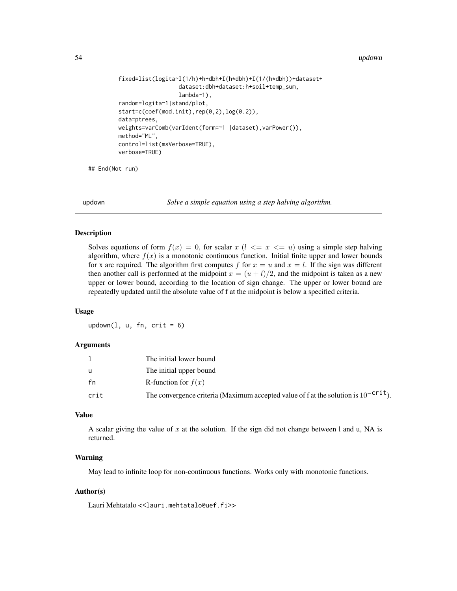```
fixed=list(logita~I(1/h)+h+dbh+I(h*dbh)+I(1/(h*dbh))+dataset+
                  dataset:dbh+dataset:h+soil+temp_sum,
                  lambda~1),
random=logita~1|stand/plot,
start=c(coef(mod.init),rep(0,2),log(0.2)),
data=ptrees,
weights=varComb(varIdent(form=~1 |dataset),varPower()),
method="ML",
control=list(msVerbose=TRUE),
verbose=TRUE)
```
## End(Not run)

updown *Solve a simple equation using a step halving algorithm.*

# Description

Solves equations of form  $f(x) = 0$ , for scalar  $x (l \leq x \leq u)$  using a simple step halving algorithm, where  $f(x)$  is a monotonic continuous function. Initial finite upper and lower bounds for x are required. The algorithm first computes f for  $x = u$  and  $x = l$ . If the sign was different then another call is performed at the midpoint  $x = (u + l)/2$ , and the midpoint is taken as a new upper or lower bound, according to the location of sign change. The upper or lower bound are repeatedly updated until the absolute value of f at the midpoint is below a specified criteria.

# Usage

updown $(1, u, fn, crit = 6)$ 

# Arguments

|      | The initial lower bound                                                                  |
|------|------------------------------------------------------------------------------------------|
| u    | The initial upper bound                                                                  |
| fn   | R-function for $f(x)$                                                                    |
| crit | The convergence criteria (Maximum accepted value of f at the solution is $10^{-crit}$ ). |

# Value

A scalar giving the value of  $x$  at the solution. If the sign did not change between 1 and u, NA is returned.

# Warning

May lead to infinite loop for non-continuous functions. Works only with monotonic functions.

# Author(s)

Lauri Mehtatalo << lauri.mehtatalo@uef.fi>>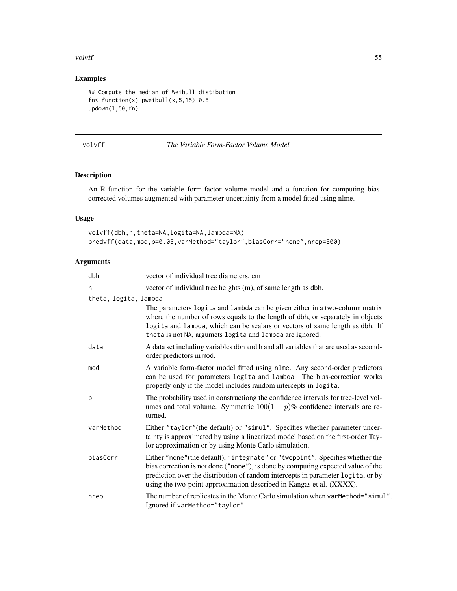#### <span id="page-54-0"></span>volvff 55

# Examples

```
## Compute the median of Weibull distibution
fn<-function(x) pweibull(x, 5, 15)-0.5updown(1,50,fn)
```

|  | u |
|--|---|
|--|---|

# volvff *The Variable Form-Factor Volume Model*

# Description

An R-function for the variable form-factor volume model and a function for computing biascorrected volumes augmented with parameter uncertainty from a model fitted using nlme.

# Usage

```
volvff(dbh,h,theta=NA,logita=NA,lambda=NA)
predvff(data,mod,p=0.05,varMethod="taylor",biasCorr="none",nrep=500)
```
# Arguments

| dbh                   | vector of individual tree diameters, cm                                                                                                                                                                                                                                                                                       |
|-----------------------|-------------------------------------------------------------------------------------------------------------------------------------------------------------------------------------------------------------------------------------------------------------------------------------------------------------------------------|
| h                     | vector of individual tree heights (m), of same length as dbh.                                                                                                                                                                                                                                                                 |
| theta, logita, lambda |                                                                                                                                                                                                                                                                                                                               |
|                       | The parameters logita and lambda can be given either in a two-column matrix<br>where the number of rows equals to the length of dbh, or separately in objects<br>logita and lambda, which can be scalars or vectors of same length as dbh. If<br>theta is not NA, argumets logita and lambda are ignored.                     |
| data                  | A data set including variables dbh and h and all variables that are used as second-<br>order predictors in mod.                                                                                                                                                                                                               |
| mod                   | A variable form-factor model fitted using nlme. Any second-order predictors<br>can be used for parameters logita and lambda. The bias-correction works<br>properly only if the model includes random intercepts in logita.                                                                                                    |
| p                     | The probability used in constructiong the confidence intervals for tree-level vol-<br>umes and total volume. Symmetric $100(1 - p)\%$ confidence intervals are re-<br>turned.                                                                                                                                                 |
| varMethod             | Either "taylor" (the default) or "simul". Specifies whether parameter uncer-<br>tainty is approximated by using a linearized model based on the first-order Tay-<br>lor approximation or by using Monte Carlo simulation.                                                                                                     |
| biasCorr              | Either "none" (the default), "integrate" or "twopoint". Specifies whether the<br>bias correction is not done ("none"), is done by computing expected value of the<br>prediction over the distribution of random intercepts in parameter logita, or by<br>using the two-point approximation described in Kangas et al. (XXXX). |
| nrep                  | The number of replicates in the Monte Carlo simulation when varMethod="simul".<br>Ignored if varMethod="taylor".                                                                                                                                                                                                              |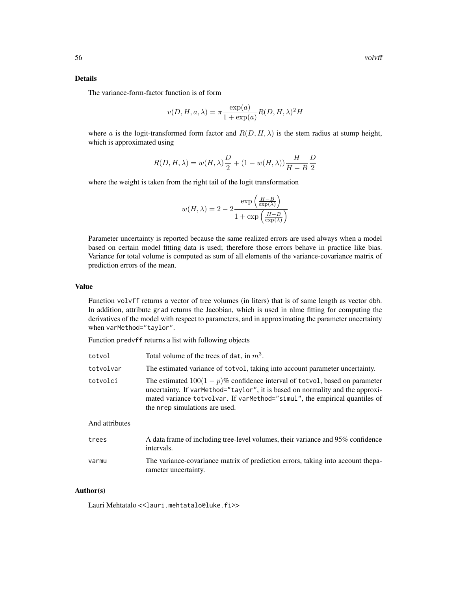# Details

The variance-form-factor function is of form

$$
v(D, H, a, \lambda) = \pi \frac{\exp(a)}{1 + \exp(a)} R(D, H, \lambda)^2 H
$$

where a is the logit-transformed form factor and  $R(D, H, \lambda)$  is the stem radius at stump height, which is approximated using

$$
R(D,H,\lambda)=w(H,\lambda)\frac{D}{2}+(1-w(H,\lambda))\frac{H}{H-B}\frac{D}{2}
$$

where the weight is taken from the right tail of the logit transformation

$$
w(H, \lambda) = 2 - 2 \frac{\exp\left(\frac{H - B}{\exp(\lambda)}\right)}{1 + \exp\left(\frac{H - B}{\exp(\lambda)}\right)}
$$

Parameter uncertainty is reported because the same realized errors are used always when a model based on certain model fitting data is used; therefore those errors behave in practice like bias. Variance for total volume is computed as sum of all elements of the variance-covariance matrix of prediction errors of the mean.

# Value

Function volvff returns a vector of tree volumes (in liters) that is of same length as vector dbh. In addition, attribute grad returns the Jacobian, which is used in nlme fitting for computing the derivatives of the model with respect to parameters, and in approximating the parameter uncertainty when varMethod="taylor".

Function predvff returns a list with following objects

| totvol         | Total volume of the trees of dat, in $m3$ .                                                                                                                                                                                                                                   |
|----------------|-------------------------------------------------------------------------------------------------------------------------------------------------------------------------------------------------------------------------------------------------------------------------------|
| totvolvar      | The estimated variance of totvol, taking into account parameter uncertainty.                                                                                                                                                                                                  |
| totvolci       | The estimated $100(1-p)\%$ confidence interval of totvol, based on parameter<br>uncertainty. If varMethod="taylor", it is based on normality and the approxi-<br>mated variance totvolvar. If varMethod="simul", the empirical quantiles of<br>the nrep simulations are used. |
| And attributes |                                                                                                                                                                                                                                                                               |

#### And attributes

| trees | A data frame of including tree-level volumes, their variance and 95% confidence<br>intervals.            |
|-------|----------------------------------------------------------------------------------------------------------|
| varmu | The variance-covariance matrix of prediction errors, taking into account the pa-<br>rameter uncertainty. |

#### Author(s)

Lauri Mehtatalo << lauri.mehtatalo@luke.fi>>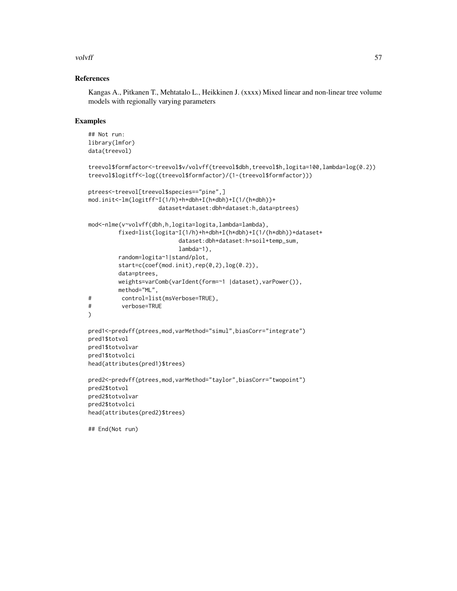# volvff 57

# References

Kangas A., Pitkanen T., Mehtatalo L., Heikkinen J. (xxxx) Mixed linear and non-linear tree volume models with regionally varying parameters

# Examples

```
## Not run:
library(lmfor)
data(treevol)
treevol$formfactor<-treevol$v/volvff(treevol$dbh,treevol$h,logita=100,lambda=log(0.2))
treevol$logitff<-log((treevol$formfactor)/(1-(treevol$formfactor)))
ptrees<-treevol[treevol$species=="pine",]
mod.init<-lm(logitff~I(1/h)+h+dbh+I(h*dbh)+I(1/(h*dbh))+
                     dataset+dataset:dbh+dataset:h,data=ptrees)
mod<-nlme(v~volvff(dbh,h,logita=logita,lambda=lambda),
         fixed=list(logita~I(1/h)+h+dbh+I(h*dbh)+I(1/(h*dbh))+dataset+
                          dataset:dbh+dataset:h+soil+temp_sum,
                          lambda~1),
         random=logita~1|stand/plot,
         start=c(coef(mod.init),rep(0,2),log(0.2)),
         data=ptrees,
         weights=varComb(varIdent(form=~1 |dataset),varPower()),
         method="ML",
# control=list(msVerbose=TRUE),
# verbose=TRUE
)
pred1<-predvff(ptrees,mod,varMethod="simul",biasCorr="integrate")
pred1$totvol
pred1$totvolvar
pred1$totvolci
head(attributes(pred1)$trees)
pred2<-predvff(ptrees,mod,varMethod="taylor",biasCorr="twopoint")
```

```
pred2$totvol
pred2$totvolvar
pred2$totvolci
head(attributes(pred2)$trees)
```

```
## End(Not run)
```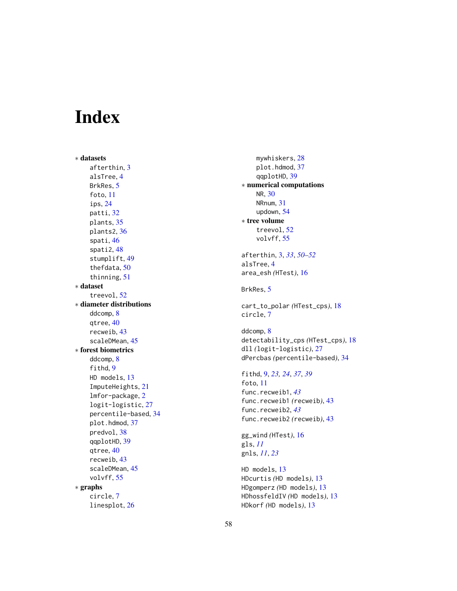# <span id="page-57-0"></span>Index

∗ datasets afterthin , [3](#page-2-0) alsTree , [4](#page-3-0) BrkRes, <mark>[5](#page-4-0)</mark> foto , [11](#page-10-0) ips , [24](#page-23-0) patti , [32](#page-31-0) plants, [35](#page-34-0) plants2 , [36](#page-35-0) spati , [46](#page-45-0) spati2 , [48](#page-47-0) stumplift , [49](#page-48-0) thefdata , [50](#page-49-0) thinning , [51](#page-50-0) ∗ dataset treevol , [52](#page-51-0) ∗ diameter distributions ddcomp , [8](#page-7-0) qtree , [40](#page-39-0) recweib , [43](#page-42-0) scaleDMean , [45](#page-44-0) ∗ forest biometrics ddcomp , [8](#page-7-0) fithd, [9](#page-8-0) HD models , [13](#page-12-0) ImputeHeights , [21](#page-20-0) lmfor-package , [2](#page-1-0) logit-logistic , [27](#page-26-0) percentile-based , [34](#page-33-0) plot.hdmod, [37](#page-36-0) predvol , [38](#page-37-0) qqplotHD , [39](#page-38-0) qtree , [40](#page-39-0) recweib , [43](#page-42-0) scaleDMean , [45](#page-44-0) volvff , [55](#page-54-0) ∗ graphs circle , [7](#page-6-0) linesplot , [26](#page-25-0)

mywhiskers,2<mark>8</mark> plot.hdmod , [37](#page-36-0) qqplotHD , [39](#page-38-0) ∗ numerical computations NR , [30](#page-29-0) NRnum , [31](#page-30-0) updown , [54](#page-53-0) ∗ tree volume treevol , [52](#page-51-0) volvff , [55](#page-54-0) afterthin , [3](#page-2-0) , *[33](#page-32-0)* , *[50](#page-49-0)[–52](#page-51-0)* alsTree , [4](#page-3-0) area\_esh *(*HTest *)* , [16](#page-15-0) BrkRes, <mark>[5](#page-4-0)</mark> cart\_to\_polar *(*HTest\_cps *)* , [18](#page-17-0) circle , [7](#page-6-0) ddcomp, [8](#page-7-0) detectability\_cps *(*HTest\_cps *)* , [18](#page-17-0) dll *(*logit-logistic *)* , [27](#page-26-0) dPercbas *(*percentile-based *)* , [34](#page-33-0) fithd , [9](#page-8-0) , *[23](#page-22-0) , [24](#page-23-0)* , *[37](#page-36-0)* , *[39](#page-38-0)* foto , [11](#page-10-0) func.recweib1 , *[43](#page-42-0)* func.recweib1 *(*recweib *)* , [43](#page-42-0) func.recweib2 , *[43](#page-42-0)* func.recweib2 *(*recweib *)* , [43](#page-42-0) gg\_wind *(*HTest *)* , [16](#page-15-0) gls , *[11](#page-10-0)* gnls , *[11](#page-10-0)* , *[23](#page-22-0)* HD models, [13](#page-12-0) HDcurtis *(*HD models *)* , [13](#page-12-0) HDgomperz *(*HD models *)* , [13](#page-12-0) HDhossfeldIV *(*HD models *)* , [13](#page-12-0) HDkorf *(*HD models *)* , [13](#page-12-0)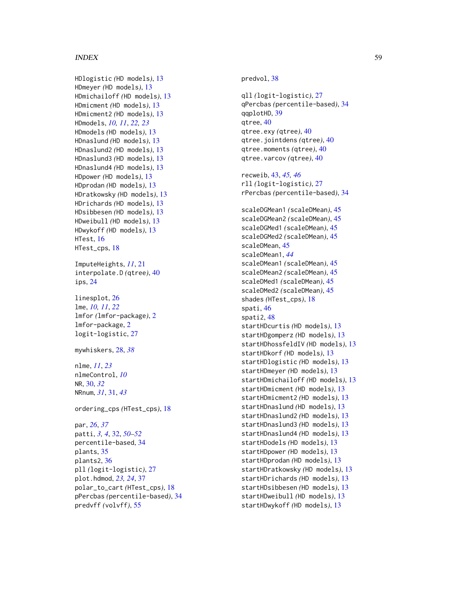#### INDEX 59

HDlogistic *(*HD models *)* , [13](#page-12-0) HDmeyer *(*HD models *)* , [13](#page-12-0) HDmichailoff *(*HD models *)* , [13](#page-12-0) HDmicment *(*HD models *)* , [13](#page-12-0) HDmicment2 *(*HD models *)* , [13](#page-12-0) HDmodels , *[10](#page-9-0) , [11](#page-10-0)* , *[22](#page-21-0) , [23](#page-22-0)* HDmodels *(*HD models *)* , [13](#page-12-0) HDnaslund *(*HD models *)* , [13](#page-12-0) HDnaslund2 *(*HD models *)* , [13](#page-12-0) HDnaslund3 *(*HD models *)* , [13](#page-12-0) HDnaslund4 *(*HD models *)* , [13](#page-12-0) HDpower *(*HD models *)* , [13](#page-12-0) HDprodan *(*HD models *)* , [13](#page-12-0) HDratkowsky *(*HD models *)* , [13](#page-12-0) HDrichards *(*HD models *)* , [13](#page-12-0) HDsibbesen *(*HD models *)* , [13](#page-12-0) HDweibull *(*HD models *)* , [13](#page-12-0) HDwykoff *(*HD models *)* , [13](#page-12-0) HTest , [16](#page-15-0) HTest\_cps, [18](#page-17-0)

ImputeHeights , *[11](#page-10-0)* , [21](#page-20-0) interpolate.D *(*qtree *)* , [40](#page-39-0) ips , [24](#page-23-0)

linesplot , [26](#page-25-0) lme , *[10,](#page-9-0) [11](#page-10-0)* , *[22](#page-21-0)* lmfor *(*lmfor-package *)* , [2](#page-1-0) lmfor-package , [2](#page-1-0) logit-logistic , [27](#page-26-0)

mywhiskers , [28](#page-27-0) , *[38](#page-37-0)*

nlme , *[11](#page-10-0)* , *[23](#page-22-0)* nlmeControl , *[10](#page-9-0)* NR , [30](#page-29-0) , *[32](#page-31-0)* NRnum , *[31](#page-30-0)* , [31](#page-30-0) , *[43](#page-42-0)*

ordering\_cps *(*HTest\_cps *)* , [18](#page-17-0)

par , *[26](#page-25-0)* , *[37](#page-36-0)* patti , *[3](#page-2-0) , [4](#page-3-0)* , [32](#page-31-0) , *[50](#page-49-0)[–52](#page-51-0)* percentile-based , [34](#page-33-0) plants, [35](#page-34-0) plants2 , [36](#page-35-0) pll *(*logit-logistic *)* , [27](#page-26-0) plot.hdmod , *[23](#page-22-0) , [24](#page-23-0)* , [37](#page-36-0) polar\_to\_cart *(*HTest\_cps *)* , [18](#page-17-0) pPercbas *(*percentile-based *)* , [34](#page-33-0) predvff *(*volvff *)* , [55](#page-54-0)

predvol , [38](#page-37-0)

qll *(*logit-logistic *)* , [27](#page-26-0) qPercbas *(*percentile-based *)* , [34](#page-33-0) qqplotHD , [39](#page-38-0) qtree , [40](#page-39-0) qtree.exy *(*qtree *)* , [40](#page-39-0) qtree.jointdens *(*qtree *)* , [40](#page-39-0) qtree.moments *(*qtree *)* , [40](#page-39-0) qtree.varcov *(*qtree *)* , [40](#page-39-0) recweib , [43](#page-42-0) , *[45](#page-44-0) , [46](#page-45-0)* rll *(*logit-logistic *)* , [27](#page-26-0) rPercbas *(*percentile-based *)* , [34](#page-33-0) scaleDGMean1 *(*scaleDMean *)* , [45](#page-44-0) scaleDGMean2 *(*scaleDMean *)* , [45](#page-44-0) scaleDGMed1 *(*scaleDMean *)* , [45](#page-44-0) scaleDGMed2 *(*scaleDMean *)* , [45](#page-44-0) scaleDMean , [45](#page-44-0) scaleDMean1 , *[44](#page-43-0)* scaleDMean1 *(*scaleDMean *)* , [45](#page-44-0) scaleDMean2 *(*scaleDMean *)* , [45](#page-44-0) scaleDMed1 *(*scaleDMean *)* , [45](#page-44-0) scaleDMed2 *(*scaleDMean *)* , [45](#page-44-0) shades *(*HTest\_cps *)* , [18](#page-17-0) spati , [46](#page-45-0) spati2 , [48](#page-47-0) startHDcurtis *(*HD models *)* , [13](#page-12-0) startHDgomperz *(*HD models *)* , [13](#page-12-0) startHDhossfeldIV *(*HD models *)* , [13](#page-12-0) startHDkorf *(*HD models *)* , [13](#page-12-0) startHDlogistic *(*HD models *)* , [13](#page-12-0) startHDmeyer *(*HD models *)* , [13](#page-12-0) startHDmichailoff *(*HD models *)* , [13](#page-12-0) startHDmicment *(*HD models *)* , [13](#page-12-0) startHDmicment2 *(*HD models *)* , [13](#page-12-0) startHDnaslund *(*HD models *)* , [13](#page-12-0) startHDnaslund2 *(*HD models *)* , [13](#page-12-0) startHDnaslund3 *(*HD models *)* , [13](#page-12-0) startHDnaslund4 *(*HD models *)* , [13](#page-12-0) startHDodels *(*HD models *)* , [13](#page-12-0) startHDpower *(*HD models *)* , [13](#page-12-0) startHDprodan *(*HD models *)* , [13](#page-12-0) startHDratkowsky *(*HD models *)* , [13](#page-12-0) startHDrichards *(*HD models *)* , [13](#page-12-0) startHDsibbesen *(*HD models *)* , [13](#page-12-0) startHDweibull *(*HD models *)* , [13](#page-12-0) startHDwykoff *(*HD models *)* , [13](#page-12-0)